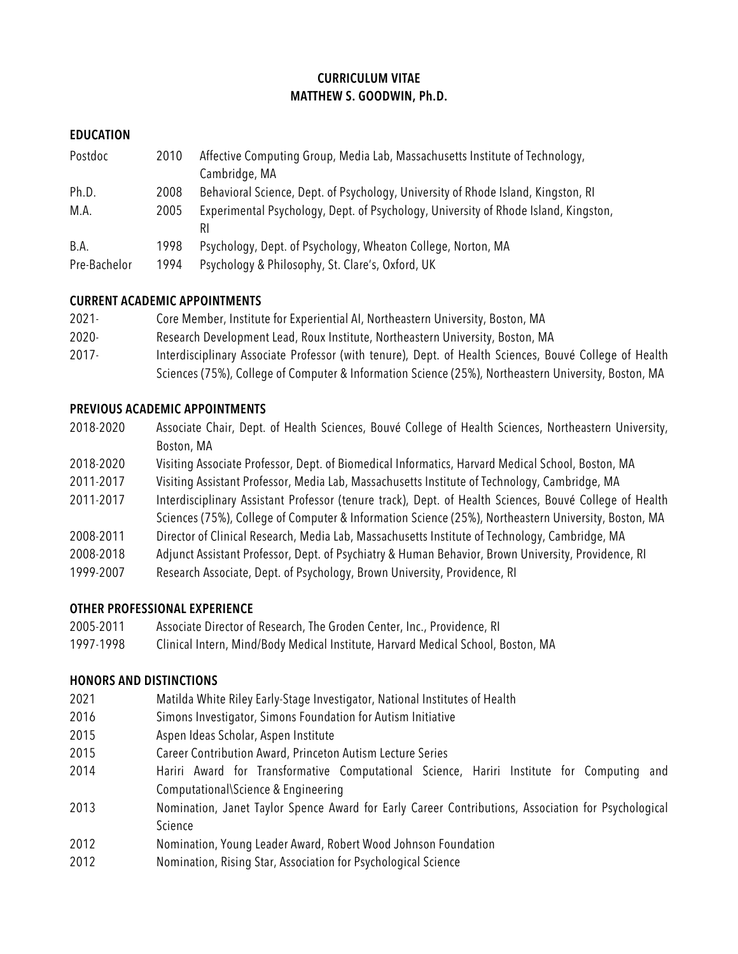## **CURRICULUM VITAE MATTHEW S. GOODWIN, Ph.D.**

### **EDUCATION**

| Postdoc      | 2010 | Affective Computing Group, Media Lab, Massachusetts Institute of Technology,        |
|--------------|------|-------------------------------------------------------------------------------------|
|              |      | Cambridge, MA                                                                       |
| Ph.D.        | 2008 | Behavioral Science, Dept. of Psychology, University of Rhode Island, Kingston, RI   |
| M.A.         | 2005 | Experimental Psychology, Dept. of Psychology, University of Rhode Island, Kingston, |
|              |      | RI                                                                                  |
| B.A.         | 1998 | Psychology, Dept. of Psychology, Wheaton College, Norton, MA                        |
| Pre-Bachelor | 1994 | Psychology & Philosophy, St. Clare's, Oxford, UK                                    |

#### **CURRENT ACADEMIC APPOINTMENTS**

- 2021- Core Member, Institute for Experiential AI, Northeastern University, Boston, MA
- 2020- Research Development Lead, Roux Institute, Northeastern University, Boston, MA
- 2017- Interdisciplinary Associate Professor (with tenure), Dept. of Health Sciences, Bouvé College of Health Sciences (75%), College of Computer & Information Science (25%), Northeastern University, Boston, MA

#### **PREVIOUS ACADEMIC APPOINTMENTS**

| 2018-2020 | Associate Chair, Dept. of Health Sciences, Bouvé College of Health Sciences, Northeastern University,   |
|-----------|---------------------------------------------------------------------------------------------------------|
|           | Boston, MA                                                                                              |
| 2018-2020 | Visiting Associate Professor, Dept. of Biomedical Informatics, Harvard Medical School, Boston, MA       |
| 2011-2017 | Visiting Assistant Professor, Media Lab, Massachusetts Institute of Technology, Cambridge, MA           |
| 2011-2017 | Interdisciplinary Assistant Professor (tenure track), Dept. of Health Sciences, Bouvé College of Health |

- Sciences (75%), College of Computer & Information Science (25%), Northeastern University, Boston, MA
- 2008-2011 Director of Clinical Research, Media Lab, Massachusetts Institute of Technology, Cambridge, MA
- 2008-2018 Adjunct Assistant Professor, Dept. of Psychiatry & Human Behavior, Brown University, Providence, RI
- 1999-2007 Research Associate, Dept. of Psychology, Brown University, Providence, RI

# **OTHER PROFESSIONAL EXPERIENCE**

- 2005-2011 Associate Director of Research, The Groden Center, Inc., Providence, RI
- 1997-1998 Clinical Intern, Mind/Body Medical Institute, Harvard Medical School, Boston, MA

# **HONORS AND DISTINCTIONS**

- 2021 Matilda White Riley Early-Stage Investigator, National Institutes of Health
- 2016 Simons Investigator, Simons Foundation for Autism Initiative
- 2015 Aspen Ideas Scholar, Aspen Institute
- 2015 Career Contribution Award, Princeton Autism Lecture Series
- 2014 Hariri Award for Transformative Computational Science, Hariri Institute for Computing and Computational\Science & Engineering
- 2013 Nomination, Janet Taylor Spence Award for Early Career Contributions, Association for Psychological Science
- 2012 Nomination, Young Leader Award, Robert Wood Johnson Foundation
- 2012 Nomination, Rising Star, Association for Psychological Science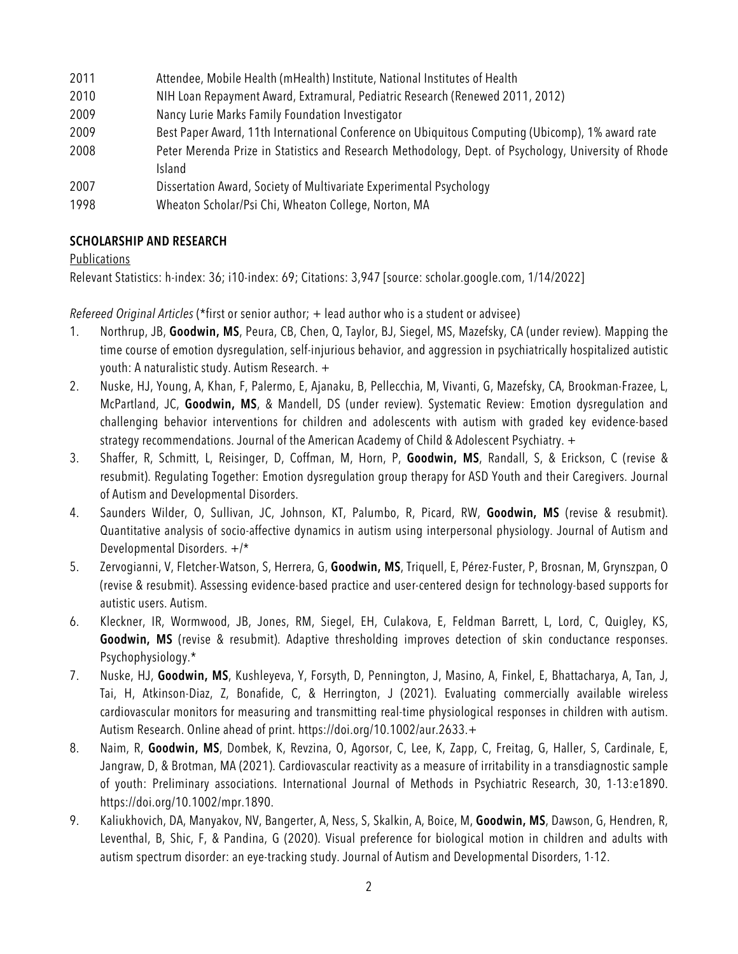| 2011 | Attendee, Mobile Health (mHealth) Institute, National Institutes of Health                           |
|------|------------------------------------------------------------------------------------------------------|
| 2010 | NIH Loan Repayment Award, Extramural, Pediatric Research (Renewed 2011, 2012)                        |
| 2009 | Nancy Lurie Marks Family Foundation Investigator                                                     |
| 2009 | Best Paper Award, 11th International Conference on Ubiquitous Computing (Ubicomp), 1% award rate     |
| 2008 | Peter Merenda Prize in Statistics and Research Methodology, Dept. of Psychology, University of Rhode |
|      | <b>Island</b>                                                                                        |
| 2007 | Dissertation Award, Society of Multivariate Experimental Psychology                                  |
| 1998 | Wheaton Scholar/Psi Chi, Wheaton College, Norton, MA                                                 |

#### **SCHOLARSHIP AND RESEARCH**

#### Publications

Relevant Statistics: h-index: 36; i10-index: 69; Citations: 3,947 [source: scholar.google.com, 1/14/2022]

*Refereed Original Articles* (\*first or senior author; + lead author who is a student or advisee)

- 1. Northrup, JB, **Goodwin, MS**, Peura, CB, Chen, Q, Taylor, BJ, Siegel, MS, Mazefsky, CA (under review). Mapping the time course of emotion dysregulation, self-injurious behavior, and aggression in psychiatrically hospitalized autistic youth: A naturalistic study. Autism Research. +
- 2. Nuske, HJ, Young, A, Khan, F, Palermo, E, Ajanaku, B, Pellecchia, M, Vivanti, G, Mazefsky, CA, Brookman-Frazee, L, McPartland, JC, **Goodwin, MS**, & Mandell, DS (under review). Systematic Review: Emotion dysregulation and challenging behavior interventions for children and adolescents with autism with graded key evidence-based strategy recommendations. Journal of the American Academy of Child & Adolescent Psychiatry. +
- 3. Shaffer, R, Schmitt, L, Reisinger, D, Coffman, M, Horn, P, **Goodwin, MS**, Randall, S, & Erickson, C (revise & resubmit). Regulating Together: Emotion dysregulation group therapy for ASD Youth and their Caregivers. Journal of Autism and Developmental Disorders.
- 4. Saunders Wilder, O, Sullivan, JC, Johnson, KT, Palumbo, R, Picard, RW, **Goodwin, MS** (revise & resubmit). Quantitative analysis of socio-affective dynamics in autism using interpersonal physiology. Journal of Autism and Developmental Disorders. +/\*
- 5. Zervogianni, V, Fletcher-Watson, S, Herrera, G, **Goodwin, MS**, Triquell, E, Pérez-Fuster, P, Brosnan, M, Grynszpan, O (revise & resubmit). Assessing evidence-based practice and user-centered design for technology-based supports for autistic users. Autism.
- 6. Kleckner, IR, Wormwood, JB, Jones, RM, Siegel, EH, Culakova, E, Feldman Barrett, L, Lord, C, Quigley, KS, **Goodwin, MS** (revise & resubmit). Adaptive thresholding improves detection of skin conductance responses. Psychophysiology.\*
- 7. Nuske, HJ, **Goodwin, MS**, Kushleyeva, Y, Forsyth, D, Pennington, J, Masino, A, Finkel, E, Bhattacharya, A, Tan, J, Tai, H, Atkinson-Diaz, Z, Bonafide, C, & Herrington, J (2021). Evaluating commercially available wireless cardiovascular monitors for measuring and transmitting real-time physiological responses in children with autism. Autism Research. Online ahead of print. https://doi.org/10.1002/aur.2633.+
- 8. Naim, R, **Goodwin, MS**, Dombek, K, Revzina, O, Agorsor, C, Lee, K, Zapp, C, Freitag, G, Haller, S, Cardinale, E, Jangraw, D, & Brotman, MA (2021). Cardiovascular reactivity as a measure of irritability in a transdiagnostic sample of youth: Preliminary associations. International Journal of Methods in Psychiatric Research, 30, 1-13:e1890. https://doi.org/10.1002/mpr.1890.
- 9. Kaliukhovich, DA, Manyakov, NV, Bangerter, A, Ness, S, Skalkin, A, Boice, M, **Goodwin, MS**, Dawson, G, Hendren, R, Leventhal, B, Shic, F, & Pandina, G (2020). Visual preference for biological motion in children and adults with autism spectrum disorder: an eye-tracking study. Journal of Autism and Developmental Disorders, 1-12.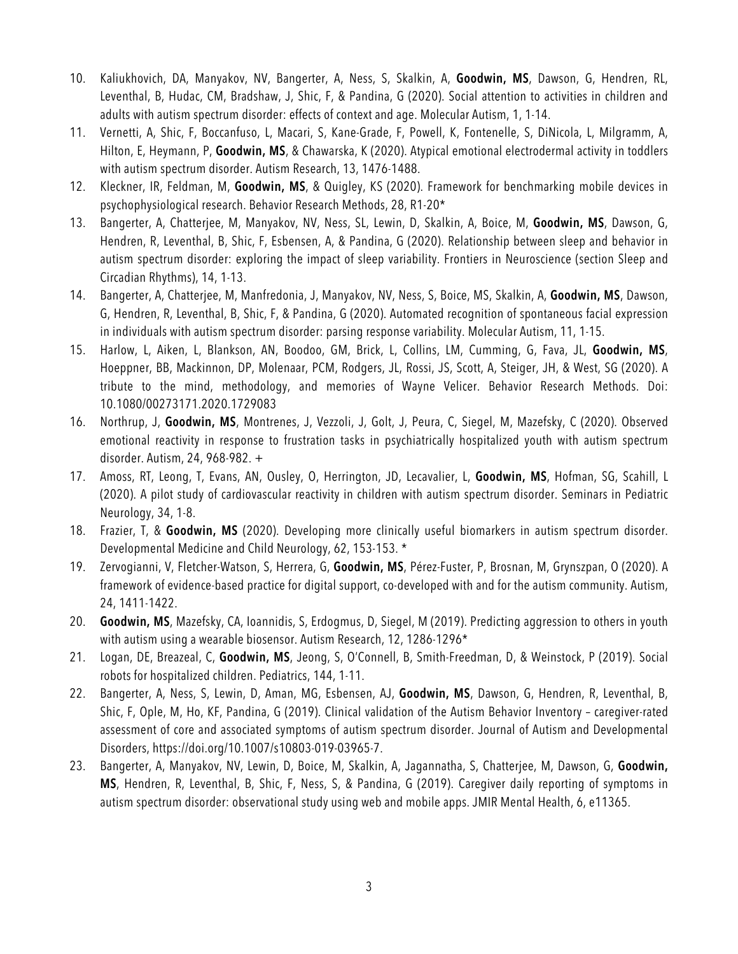- 10. Kaliukhovich, DA, Manyakov, NV, Bangerter, A, Ness, S, Skalkin, A, **Goodwin, MS**, Dawson, G, Hendren, RL, Leventhal, B, Hudac, CM, Bradshaw, J, Shic, F, & Pandina, G (2020). Social attention to activities in children and adults with autism spectrum disorder: effects of context and age. Molecular Autism, 1, 1-14.
- 11. Vernetti, A, Shic, F, Boccanfuso, L, Macari, S, Kane-Grade, F, Powell, K, Fontenelle, S, DiNicola, L, Milgramm, A, Hilton, E, Heymann, P, **Goodwin, MS**, & Chawarska, K (2020). Atypical emotional electrodermal activity in toddlers with autism spectrum disorder. Autism Research, 13, 1476-1488.
- 12. Kleckner, IR, Feldman, M, **Goodwin, MS**, & Quigley, KS (2020). Framework for benchmarking mobile devices in psychophysiological research. Behavior Research Methods, 28, R1-20\*
- 13. Bangerter, A, Chatterjee, M, Manyakov, NV, Ness, SL, Lewin, D, Skalkin, A, Boice, M, **Goodwin, MS**, Dawson, G, Hendren, R, Leventhal, B, Shic, F, Esbensen, A, & Pandina, G (2020). Relationship between sleep and behavior in autism spectrum disorder: exploring the impact of sleep variability. Frontiers in Neuroscience (section Sleep and Circadian Rhythms), 14, 1-13.
- 14. Bangerter, A, Chatterjee, M, Manfredonia, J, Manyakov, NV, Ness, S, Boice, MS, Skalkin, A, **Goodwin, MS**, Dawson, G, Hendren, R, Leventhal, B, Shic, F, & Pandina, G (2020). Automated recognition of spontaneous facial expression in individuals with autism spectrum disorder: parsing response variability. Molecular Autism, 11, 1-15.
- 15. Harlow, L, Aiken, L, Blankson, AN, Boodoo, GM, Brick, L, Collins, LM, Cumming, G, Fava, JL, **Goodwin, MS**, Hoeppner, BB, Mackinnon, DP, Molenaar, PCM, Rodgers, JL, Rossi, JS, Scott, A, Steiger, JH, & West, SG (2020). A tribute to the mind, methodology, and memories of Wayne Velicer. Behavior Research Methods. Doi: 10.1080/00273171.2020.1729083
- 16. Northrup, J, **Goodwin, MS**, Montrenes, J, Vezzoli, J, Golt, J, Peura, C, Siegel, M, Mazefsky, C (2020). Observed emotional reactivity in response to frustration tasks in psychiatrically hospitalized youth with autism spectrum disorder. Autism, 24, 968-982. +
- 17. Amoss, RT, Leong, T, Evans, AN, Ousley, O, Herrington, JD, Lecavalier, L, **Goodwin, MS**, Hofman, SG, Scahill, L (2020). A pilot study of cardiovascular reactivity in children with autism spectrum disorder. Seminars in Pediatric Neurology, 34, 1-8.
- 18. Frazier, T, & **Goodwin, MS** (2020). Developing more clinically useful biomarkers in autism spectrum disorder. Developmental Medicine and Child Neurology, 62, 153-153. \*
- 19. Zervogianni, V, Fletcher-Watson, S, Herrera, G, **Goodwin, MS**, Pérez-Fuster, P, Brosnan, M, Grynszpan, O (2020). A framework of evidence-based practice for digital support, co-developed with and for the autism community. Autism, 24, 1411-1422.
- 20. **Goodwin, MS**, Mazefsky, CA, Ioannidis, S, Erdogmus, D, Siegel, M (2019). Predicting aggression to others in youth with autism using a wearable biosensor. Autism Research, 12, 1286-1296\*
- 21. Logan, DE, Breazeal, C, **Goodwin, MS**, Jeong, S, O'Connell, B, Smith-Freedman, D, & Weinstock, P (2019). Social robots for hospitalized children. Pediatrics, 144, 1-11.
- 22. Bangerter, A, Ness, S, Lewin, D, Aman, MG, Esbensen, AJ, **Goodwin, MS**, Dawson, G, Hendren, R, Leventhal, B, Shic, F, Ople, M, Ho, KF, Pandina, G (2019). Clinical validation of the Autism Behavior Inventory – caregiver-rated assessment of core and associated symptoms of autism spectrum disorder. Journal of Autism and Developmental Disorders, https://doi.org/10.1007/s10803-019-03965-7.
- 23. Bangerter, A, Manyakov, NV, Lewin, D, Boice, M, Skalkin, A, Jagannatha, S, Chatterjee, M, Dawson, G, **Goodwin, MS**, Hendren, R, Leventhal, B, Shic, F, Ness, S, & Pandina, G (2019). Caregiver daily reporting of symptoms in autism spectrum disorder: observational study using web and mobile apps. JMIR Mental Health, 6, e11365.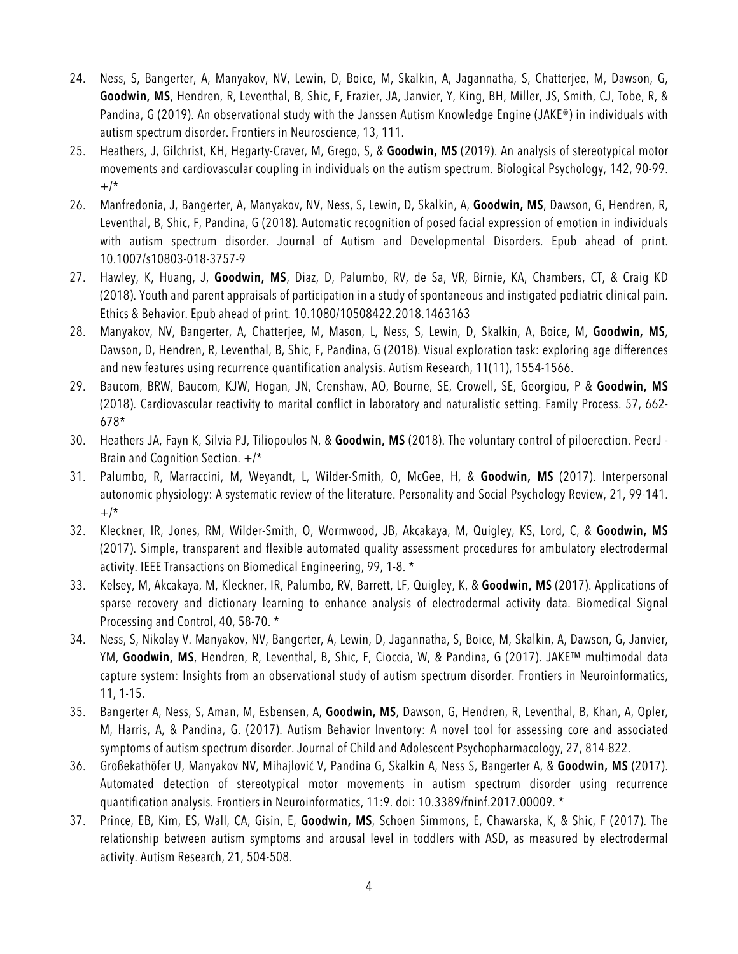- 24. Ness, S, Bangerter, A, Manyakov, NV, Lewin, D, Boice, M, Skalkin, A, Jagannatha, S, Chatterjee, M, Dawson, G, **Goodwin, MS**, Hendren, R, Leventhal, B, Shic, F, Frazier, JA, Janvier, Y, King, BH, Miller, JS, Smith, CJ, Tobe, R, & Pandina, G (2019). An observational study with the Janssen Autism Knowledge Engine (JAKE®) in individuals with autism spectrum disorder. Frontiers in Neuroscience, 13, 111.
- 25. Heathers, J, Gilchrist, KH, Hegarty-Craver, M, Grego, S, & **Goodwin, MS** (2019). An analysis of stereotypical motor movements and cardiovascular coupling in individuals on the autism spectrum. Biological Psychology, 142, 90-99.  $+$ /\*
- 26. Manfredonia, J, Bangerter, A, Manyakov, NV, Ness, S, Lewin, D, Skalkin, A, **Goodwin, MS**, Dawson, G, Hendren, R, Leventhal, B, Shic, F, Pandina, G (2018). Automatic recognition of posed facial expression of emotion in individuals with autism spectrum disorder. Journal of Autism and Developmental Disorders. Epub ahead of print. 10.1007/s10803-018-3757-9
- 27. Hawley, K, Huang, J, **Goodwin, MS**, Diaz, D, Palumbo, RV, de Sa, VR, Birnie, KA, Chambers, CT, & Craig KD (2018). Youth and parent appraisals of participation in a study of spontaneous and instigated pediatric clinical pain. Ethics & Behavior. Epub ahead of print. 10.1080/10508422.2018.1463163
- 28. Manyakov, NV, Bangerter, A, Chatterjee, M, Mason, L, Ness, S, Lewin, D, Skalkin, A, Boice, M, **Goodwin, MS**, Dawson, D, Hendren, R, Leventhal, B, Shic, F, Pandina, G (2018). Visual exploration task: exploring age differences and new features using recurrence quantification analysis. Autism Research, 11(11), 1554-1566.
- 29. Baucom, BRW, Baucom, KJW, Hogan, JN, Crenshaw, AO, Bourne, SE, Crowell, SE, Georgiou, P & **Goodwin, MS** (2018). Cardiovascular reactivity to marital conflict in laboratory and naturalistic setting. Family Process. 57, 662- 678\*
- 30. Heathers JA, Fayn K, Silvia PJ, Tiliopoulos N, & **Goodwin, MS** (2018). The voluntary control of piloerection. PeerJ Brain and Cognition Section. +/\*
- 31. Palumbo, R, Marraccini, M, Weyandt, L, Wilder-Smith, O, McGee, H, & **Goodwin, MS** (2017). Interpersonal autonomic physiology: A systematic review of the literature. Personality and Social Psychology Review, 21, 99-141.  $+$ /\*
- 32. Kleckner, IR, Jones, RM, Wilder-Smith, O, Wormwood, JB, Akcakaya, M, Quigley, KS, Lord, C, & **Goodwin, MS** (2017). Simple, transparent and flexible automated quality assessment procedures for ambulatory electrodermal activity. IEEE Transactions on Biomedical Engineering, 99, 1-8. \*
- 33. Kelsey, M, Akcakaya, M, Kleckner, IR, Palumbo, RV, Barrett, LF, Quigley, K, & **Goodwin, MS** (2017). Applications of sparse recovery and dictionary learning to enhance analysis of electrodermal activity data. Biomedical Signal Processing and Control, 40, 58-70. \*
- 34. Ness, S, Nikolay V. Manyakov, NV, Bangerter, A, Lewin, D, Jagannatha, S, Boice, M, Skalkin, A, Dawson, G, Janvier, YM, **Goodwin, MS**, Hendren, R, Leventhal, B, Shic, F, Cioccia, W, & Pandina, G (2017). JAKE™ multimodal data capture system: Insights from an observational study of autism spectrum disorder. Frontiers in Neuroinformatics, 11, 1-15.
- 35. Bangerter A, Ness, S, Aman, M, Esbensen, A, **Goodwin, MS**, Dawson, G, Hendren, R, Leventhal, B, Khan, A, Opler, M, Harris, A, & Pandina, G. (2017). Autism Behavior Inventory: A novel tool for assessing core and associated symptoms of autism spectrum disorder. Journal of Child and Adolescent Psychopharmacology, 27, 814-822.
- 36. Großekathöfer U, Manyakov NV, Mihajlović V, Pandina G, Skalkin A, Ness S, Bangerter A, & **Goodwin, MS** (2017). Automated detection of stereotypical motor movements in autism spectrum disorder using recurrence quantification analysis. Frontiers in Neuroinformatics, 11:9. doi: 10.3389/fninf.2017.00009. \*
- 37. Prince, EB, Kim, ES, Wall, CA, Gisin, E, **Goodwin, MS**, Schoen Simmons, E, Chawarska, K, & Shic, F (2017). The relationship between autism symptoms and arousal level in toddlers with ASD, as measured by electrodermal activity. Autism Research, 21, 504-508.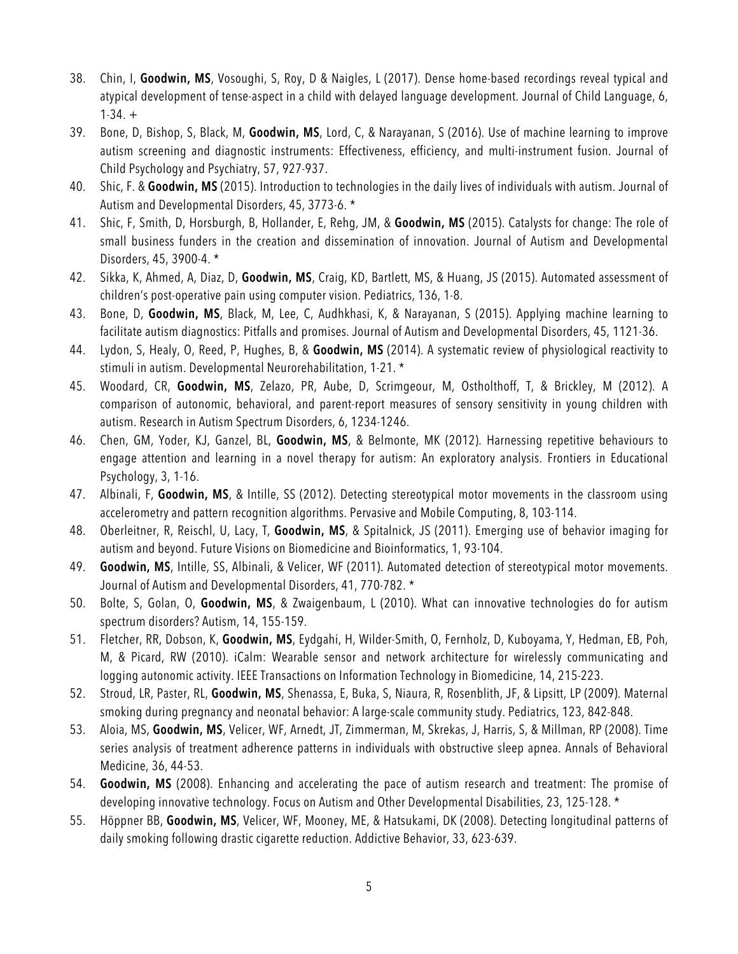- 38. Chin, I, **Goodwin, MS**, Vosoughi, S, Roy, D & Naigles, L (2017). Dense home-based recordings reveal typical and atypical development of tense-aspect in a child with delayed language development. Journal of Child Language, 6,  $1-34. +$
- 39. Bone, D, Bishop, S, Black, M, **Goodwin, MS**, Lord, C, & Narayanan, S (2016). Use of machine learning to improve autism screening and diagnostic instruments: Effectiveness, efficiency, and multi-instrument fusion. Journal of Child Psychology and Psychiatry, 57, 927-937.
- 40. Shic, F. & **Goodwin, MS** (2015). Introduction to technologies in the daily lives of individuals with autism. Journal of Autism and Developmental Disorders, 45, 3773-6. \*
- 41. Shic, F, Smith, D, Horsburgh, B, Hollander, E, Rehg, JM, & **Goodwin, MS** (2015). Catalysts for change: The role of small business funders in the creation and dissemination of innovation. Journal of Autism and Developmental Disorders, 45, 3900-4. \*
- 42. Sikka, K, Ahmed, A, Diaz, D, **Goodwin, MS**, Craig, KD, Bartlett, MS, & Huang, JS (2015). Automated assessment of children's post-operative pain using computer vision. Pediatrics, 136, 1-8.
- 43. Bone, D, **Goodwin, MS**, Black, M, Lee, C, Audhkhasi, K, & Narayanan, S (2015). Applying machine learning to facilitate autism diagnostics: Pitfalls and promises. Journal of Autism and Developmental Disorders, 45, 1121-36.
- 44. Lydon, S, Healy, O, Reed, P, Hughes, B, & **Goodwin, MS** (2014). A systematic review of physiological reactivity to stimuli in autism. Developmental Neurorehabilitation, 1-21. \*
- 45. Woodard, CR, **Goodwin, MS**, Zelazo, PR, Aube, D, Scrimgeour, M, Ostholthoff, T, & Brickley, M (2012). A comparison of autonomic, behavioral, and parent-report measures of sensory sensitivity in young children with autism. Research in Autism Spectrum Disorders, 6, 1234-1246.
- 46. Chen, GM, Yoder, KJ, Ganzel, BL, **Goodwin, MS**, & Belmonte, MK (2012). Harnessing repetitive behaviours to engage attention and learning in a novel therapy for autism: An exploratory analysis. Frontiers in Educational Psychology, 3, 1-16.
- 47. Albinali, F, **Goodwin, MS**, & Intille, SS (2012). Detecting stereotypical motor movements in the classroom using accelerometry and pattern recognition algorithms. Pervasive and Mobile Computing, 8, 103-114.
- 48. Oberleitner, R, Reischl, U, Lacy, T, **Goodwin, MS**, & Spitalnick, JS (2011). Emerging use of behavior imaging for autism and beyond. Future Visions on Biomedicine and Bioinformatics, 1, 93-104.
- 49. **Goodwin, MS**, Intille, SS, Albinali, & Velicer, WF (2011). Automated detection of stereotypical motor movements. Journal of Autism and Developmental Disorders, 41, 770-782. \*
- 50. Bolte, S, Golan, O, **Goodwin, MS**, & Zwaigenbaum, L (2010). What can innovative technologies do for autism spectrum disorders? Autism, 14, 155-159.
- 51. Fletcher, RR, Dobson, K, **Goodwin, MS**, Eydgahi, H, Wilder-Smith, O, Fernholz, D, Kuboyama, Y, Hedman, EB, Poh, M, & Picard, RW (2010). iCalm: Wearable sensor and network architecture for wirelessly communicating and logging autonomic activity. IEEE Transactions on Information Technology in Biomedicine, 14, 215-223.
- 52. Stroud, LR, Paster, RL, **Goodwin, MS**, Shenassa, E, Buka, S, Niaura, R, Rosenblith, JF, & Lipsitt, LP (2009). Maternal smoking during pregnancy and neonatal behavior: A large-scale community study. Pediatrics, 123, 842-848.
- 53. Aloia, MS, **Goodwin, MS**, Velicer, WF, Arnedt, JT, Zimmerman, M, Skrekas, J, Harris, S, & Millman, RP (2008). Time series analysis of treatment adherence patterns in individuals with obstructive sleep apnea. Annals of Behavioral Medicine, 36, 44-53.
- 54. **Goodwin, MS** (2008). Enhancing and accelerating the pace of autism research and treatment: The promise of developing innovative technology. Focus on Autism and Other Developmental Disabilities, 23, 125-128. \*
- 55. Höppner BB, **Goodwin, MS**, Velicer, WF, Mooney, ME, & Hatsukami, DK (2008). Detecting longitudinal patterns of daily smoking following drastic cigarette reduction. Addictive Behavior, 33, 623-639.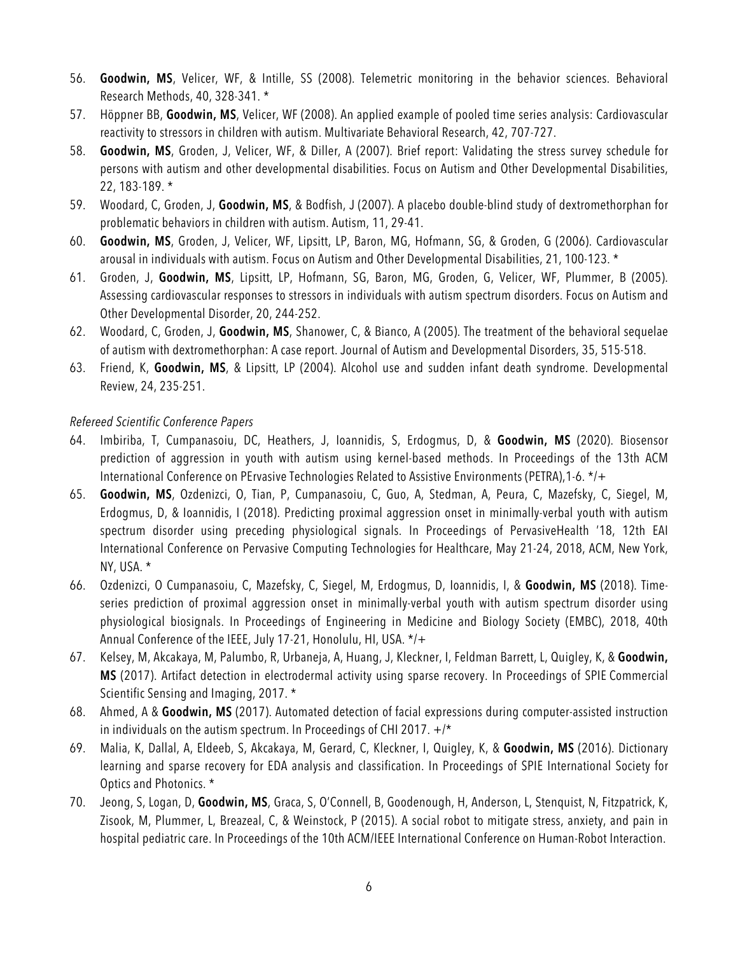- 56. **Goodwin, MS**, Velicer, WF, & Intille, SS (2008). Telemetric monitoring in the behavior sciences. Behavioral Research Methods, 40, 328-341. \*
- 57. Höppner BB, **Goodwin, MS**, Velicer, WF (2008). An applied example of pooled time series analysis: Cardiovascular reactivity to stressors in children with autism. Multivariate Behavioral Research, 42, 707-727.
- 58. **Goodwin, MS**, Groden, J, Velicer, WF, & Diller, A (2007). Brief report: Validating the stress survey schedule for persons with autism and other developmental disabilities. Focus on Autism and Other Developmental Disabilities, 22, 183-189. \*
- 59. Woodard, C, Groden, J, **Goodwin, MS**, & Bodfish, J (2007). A placebo double-blind study of dextromethorphan for problematic behaviors in children with autism. Autism, 11, 29-41.
- 60. **Goodwin, MS**, Groden, J, Velicer, WF, Lipsitt, LP, Baron, MG, Hofmann, SG, & Groden, G (2006). Cardiovascular arousal in individuals with autism. Focus on Autism and Other Developmental Disabilities, 21, 100-123. \*
- 61. Groden, J, **Goodwin, MS**, Lipsitt, LP, Hofmann, SG, Baron, MG, Groden, G, Velicer, WF, Plummer, B (2005). Assessing cardiovascular responses to stressors in individuals with autism spectrum disorders. Focus on Autism and Other Developmental Disorder, 20, 244-252.
- 62. Woodard, C, Groden, J, **Goodwin, MS**, Shanower, C, & Bianco, A (2005). The treatment of the behavioral sequelae of autism with dextromethorphan: A case report. Journal of Autism and Developmental Disorders, 35, 515-518.
- 63. Friend, K, **Goodwin, MS**, & Lipsitt, LP (2004). Alcohol use and sudden infant death syndrome. Developmental Review, 24, 235-251.

#### *Refereed Scientific Conference Papers*

- 64. Imbiriba, T, Cumpanasoiu, DC, Heathers, J, Ioannidis, S, Erdogmus, D, & **Goodwin, MS** (2020). Biosensor prediction of aggression in youth with autism using kernel-based methods. In Proceedings of the 13th ACM International Conference on PErvasive Technologies Related to Assistive Environments (PETRA),1-6. \*/+
- 65. **Goodwin, MS**, Ozdenizci, O, Tian, P, Cumpanasoiu, C, Guo, A, Stedman, A, Peura, C, Mazefsky, C, Siegel, M, Erdogmus, D, & Ioannidis, I (2018). Predicting proximal aggression onset in minimally-verbal youth with autism spectrum disorder using preceding physiological signals. In Proceedings of PervasiveHealth '18, 12th EAI International Conference on Pervasive Computing Technologies for Healthcare, May 21-24, 2018, ACM, New York, NY, USA. \*
- 66. Ozdenizci, O Cumpanasoiu, C, Mazefsky, C, Siegel, M, Erdogmus, D, Ioannidis, I, & **Goodwin, MS** (2018). Timeseries prediction of proximal aggression onset in minimally-verbal youth with autism spectrum disorder using physiological biosignals. In Proceedings of Engineering in Medicine and Biology Society (EMBC), 2018, 40th Annual Conference of the IEEE, July 17-21, Honolulu, HI, USA. \*/+
- 67. Kelsey, M, Akcakaya, M, Palumbo, R, Urbaneja, A, Huang, J, Kleckner, I, Feldman Barrett, L, Quigley, K, & **Goodwin, MS** (2017). Artifact detection in electrodermal activity using sparse recovery. In Proceedings of SPIE Commercial Scientific Sensing and Imaging, 2017. \*
- 68. Ahmed, A & **Goodwin, MS** (2017). Automated detection of facial expressions during computer-assisted instruction in individuals on the autism spectrum. In Proceedings of CHI 2017.  $+/*$
- 69. Malia, K, Dallal, A, Eldeeb, S, Akcakaya, M, Gerard, C, Kleckner, I, Quigley, K, & **Goodwin, MS** (2016). Dictionary learning and sparse recovery for EDA analysis and classification. In Proceedings of SPIE International Society for Optics and Photonics. \*
- 70. Jeong, S, Logan, D, **Goodwin, MS**, Graca, S, O'Connell, B, Goodenough, H, Anderson, L, Stenquist, N, Fitzpatrick, K, Zisook, M, Plummer, L, Breazeal, C, & Weinstock, P (2015). A social robot to mitigate stress, anxiety, and pain in hospital pediatric care. In Proceedings of the 10th ACM/IEEE International Conference on Human-Robot Interaction.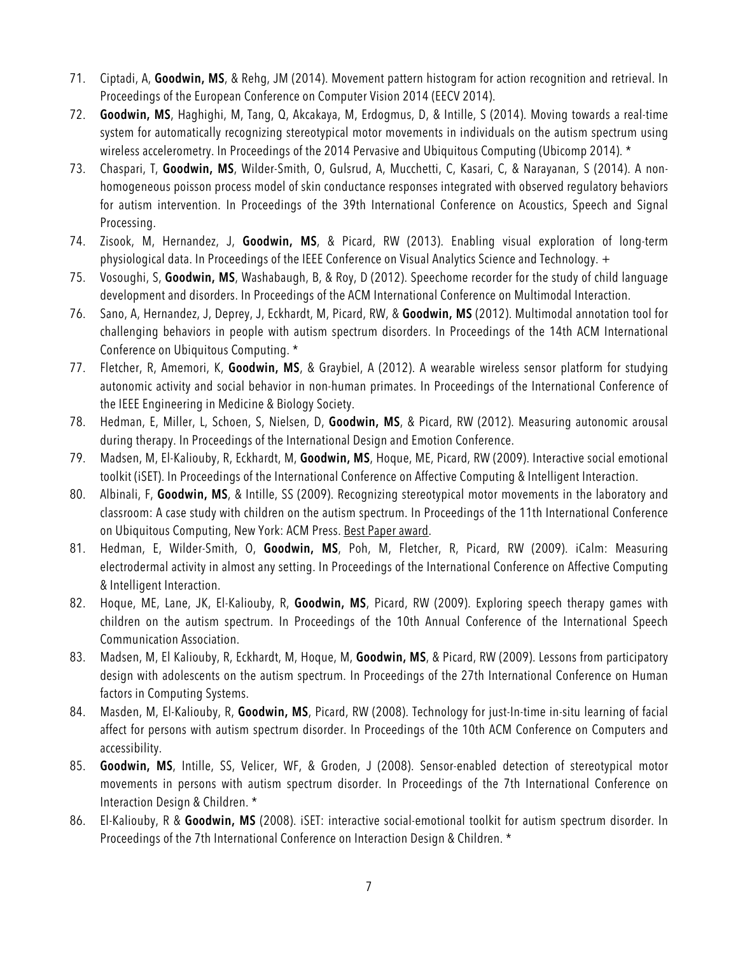- 71. Ciptadi, A, **Goodwin, MS**, & Rehg, JM (2014). Movement pattern histogram for action recognition and retrieval. In Proceedings of the European Conference on Computer Vision 2014 (EECV 2014).
- 72. **Goodwin, MS**, Haghighi, M, Tang, Q, Akcakaya, M, Erdogmus, D, & Intille, S (2014). Moving towards a real-time system for automatically recognizing stereotypical motor movements in individuals on the autism spectrum using wireless accelerometry. In Proceedings of the 2014 Pervasive and Ubiquitous Computing (Ubicomp 2014). \*
- 73. Chaspari, T, **Goodwin, MS**, Wilder-Smith, O, Gulsrud, A, Mucchetti, C, Kasari, C, & Narayanan, S (2014). A nonhomogeneous poisson process model of skin conductance responses integrated with observed regulatory behaviors for autism intervention. In Proceedings of the 39th International Conference on Acoustics, Speech and Signal Processing.
- 74. Zisook, M, Hernandez, J, **Goodwin, MS**, & Picard, RW (2013). Enabling visual exploration of long-term physiological data. In Proceedings of the IEEE Conference on Visual Analytics Science and Technology. +
- 75. Vosoughi, S, **Goodwin, MS**, Washabaugh, B, & Roy, D (2012). Speechome recorder for the study of child language development and disorders. In Proceedings of the ACM International Conference on Multimodal Interaction.
- 76. Sano, A, Hernandez, J, Deprey, J, Eckhardt, M, Picard, RW, & **Goodwin, MS** (2012). Multimodal annotation tool for challenging behaviors in people with autism spectrum disorders. In Proceedings of the 14th ACM International Conference on Ubiquitous Computing. \*
- 77. Fletcher, R, Amemori, K, **Goodwin, MS**, & Graybiel, A (2012). A wearable wireless sensor platform for studying autonomic activity and social behavior in non-human primates. In Proceedings of the International Conference of the IEEE Engineering in Medicine & Biology Society.
- 78. Hedman, E, Miller, L, Schoen, S, Nielsen, D, **Goodwin, MS**, & Picard, RW (2012). Measuring autonomic arousal during therapy. In Proceedings of the International Design and Emotion Conference.
- 79. Madsen, M, El-Kaliouby, R, Eckhardt, M, **Goodwin, MS**, Hoque, ME, Picard, RW (2009). Interactive social emotional toolkit (iSET). In Proceedings of the International Conference on Affective Computing & Intelligent Interaction.
- 80. Albinali, F, **Goodwin, MS**, & Intille, SS (2009). Recognizing stereotypical motor movements in the laboratory and classroom: A case study with children on the autism spectrum. In Proceedings of the 11th International Conference on Ubiquitous Computing, New York: ACM Press. Best Paper award.
- 81. Hedman, E, Wilder-Smith, O, **Goodwin, MS**, Poh, M, Fletcher, R, Picard, RW (2009). iCalm: Measuring electrodermal activity in almost any setting. In Proceedings of the International Conference on Affective Computing & Intelligent Interaction.
- 82. Hoque, ME, Lane, JK, El-Kaliouby, R, **Goodwin, MS**, Picard, RW (2009). Exploring speech therapy games with children on the autism spectrum. In Proceedings of the 10th Annual Conference of the International Speech Communication Association.
- 83. Madsen, M, El Kaliouby, R, Eckhardt, M, Hoque, M, **Goodwin, MS**, & Picard, RW (2009). Lessons from participatory design with adolescents on the autism spectrum. In Proceedings of the 27th International Conference on Human factors in Computing Systems.
- 84. Masden, M, El-Kaliouby, R, **Goodwin, MS**, Picard, RW (2008). Technology for just-In-time in-situ learning of facial affect for persons with autism spectrum disorder. In Proceedings of the 10th ACM Conference on Computers and accessibility.
- 85. **Goodwin, MS**, Intille, SS, Velicer, WF, & Groden, J (2008). Sensor-enabled detection of stereotypical motor movements in persons with autism spectrum disorder. In Proceedings of the 7th International Conference on Interaction Design & Children. \*
- 86. El-Kaliouby, R & **Goodwin, MS** (2008). iSET: interactive social-emotional toolkit for autism spectrum disorder. In Proceedings of the 7th International Conference on Interaction Design & Children. \*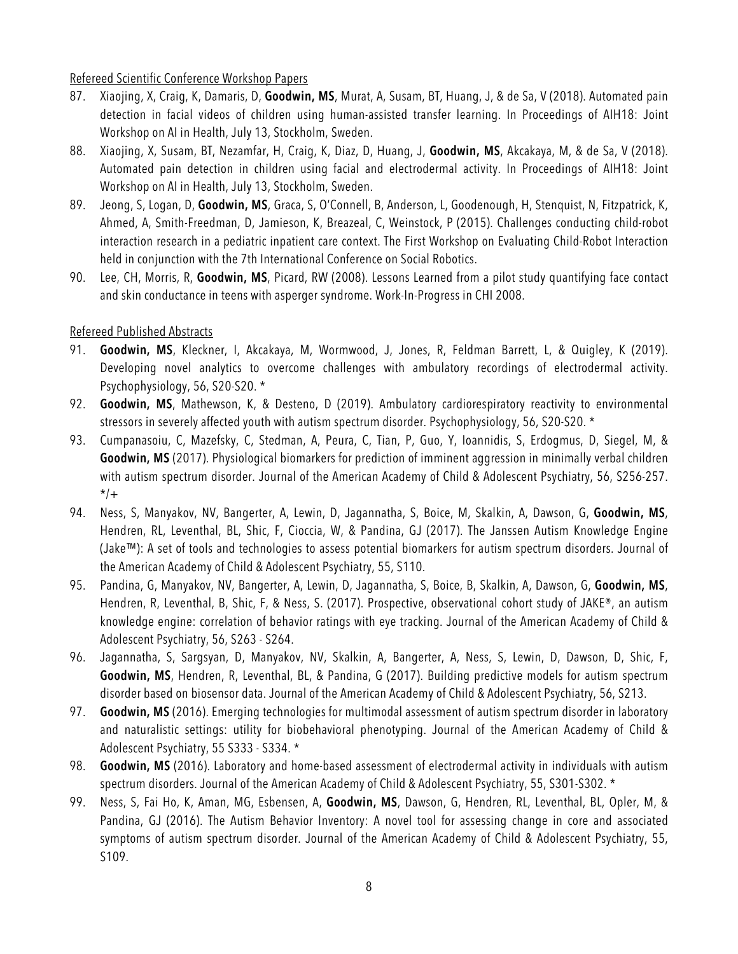### Refereed Scientific Conference Workshop Papers

- 87. Xiaojing, X, Craig, K, Damaris, D, **Goodwin, MS**, Murat, A, Susam, BT, Huang, J, & de Sa, V (2018). Automated pain detection in facial videos of children using human-assisted transfer learning. In Proceedings of AIH18: Joint Workshop on AI in Health, July 13, Stockholm, Sweden.
- 88. Xiaojing, X, Susam, BT, Nezamfar, H, Craig, K, Diaz, D, Huang, J, **Goodwin, MS**, Akcakaya, M, & de Sa, V (2018). Automated pain detection in children using facial and electrodermal activity. In Proceedings of AIH18: Joint Workshop on AI in Health, July 13, Stockholm, Sweden.
- 89. Jeong, S, Logan, D, **Goodwin, MS**, Graca, S, O'Connell, B, Anderson, L, Goodenough, H, Stenquist, N, Fitzpatrick, K, Ahmed, A, Smith-Freedman, D, Jamieson, K, Breazeal, C, Weinstock, P (2015). Challenges conducting child-robot interaction research in a pediatric inpatient care context. The First Workshop on Evaluating Child-Robot Interaction held in conjunction with the 7th International Conference on Social Robotics.
- 90. Lee, CH, Morris, R, **Goodwin, MS**, Picard, RW (2008). Lessons Learned from a pilot study quantifying face contact and skin conductance in teens with asperger syndrome. Work-In-Progress in CHI 2008.

#### Refereed Published Abstracts

- 91. **Goodwin, MS**, Kleckner, I, Akcakaya, M, Wormwood, J, Jones, R, Feldman Barrett, L, & Quigley, K (2019). Developing novel analytics to overcome challenges with ambulatory recordings of electrodermal activity. Psychophysiology, 56, S20-S20. \*
- 92. **Goodwin, MS**, Mathewson, K, & Desteno, D (2019). Ambulatory cardiorespiratory reactivity to environmental stressors in severely affected youth with autism spectrum disorder. Psychophysiology, 56, S20-S20. \*
- 93. Cumpanasoiu, C, Mazefsky, C, Stedman, A, Peura, C, Tian, P, Guo, Y, Ioannidis, S, Erdogmus, D, Siegel, M, & **Goodwin, MS** (2017). Physiological biomarkers for prediction of imminent aggression in minimally verbal children with autism spectrum disorder. Journal of the American Academy of Child & Adolescent Psychiatry, 56, S256-257.  $*$ /+
- 94. Ness, S, Manyakov, NV, Bangerter, A, Lewin, D, Jagannatha, S, Boice, M, Skalkin, A, Dawson, G, **Goodwin, MS**, Hendren, RL, Leventhal, BL, Shic, F, Cioccia, W, & Pandina, GJ (2017). The Janssen Autism Knowledge Engine (Jake™): A set of tools and technologies to assess potential biomarkers for autism spectrum disorders. Journal of the American Academy of Child & Adolescent Psychiatry, 55, S110.
- 95. Pandina, G, Manyakov, NV, Bangerter, A, Lewin, D, Jagannatha, S, Boice, B, Skalkin, A, Dawson, G, **Goodwin, MS**, Hendren, R, Leventhal, B, Shic, F, & Ness, S. (2017). Prospective, observational cohort study of JAKE®, an autism knowledge engine: correlation of behavior ratings with eye tracking. Journal of the American Academy of Child & Adolescent Psychiatry, 56, S263 - S264.
- 96. Jagannatha, S, Sargsyan, D, Manyakov, NV, Skalkin, A, Bangerter, A, Ness, S, Lewin, D, Dawson, D, Shic, F, **Goodwin, MS**, Hendren, R, Leventhal, BL, & Pandina, G (2017). Building predictive models for autism spectrum disorder based on biosensor data. Journal of the American Academy of Child & Adolescent Psychiatry, 56, S213.
- 97. **Goodwin, MS** (2016). Emerging technologies for multimodal assessment of autism spectrum disorder in laboratory and naturalistic settings: utility for biobehavioral phenotyping. Journal of the American Academy of Child & Adolescent Psychiatry, 55 S333 - S334. \*
- 98. **Goodwin, MS** (2016). Laboratory and home-based assessment of electrodermal activity in individuals with autism spectrum disorders. Journal of the American Academy of Child & Adolescent Psychiatry, 55, S301-S302. \*
- 99. Ness, S, Fai Ho, K, Aman, MG, Esbensen, A, **Goodwin, MS**, Dawson, G, Hendren, RL, Leventhal, BL, Opler, M, & Pandina, GJ (2016). The Autism Behavior Inventory: A novel tool for assessing change in core and associated symptoms of autism spectrum disorder. Journal of the American Academy of Child & Adolescent Psychiatry, 55, S109.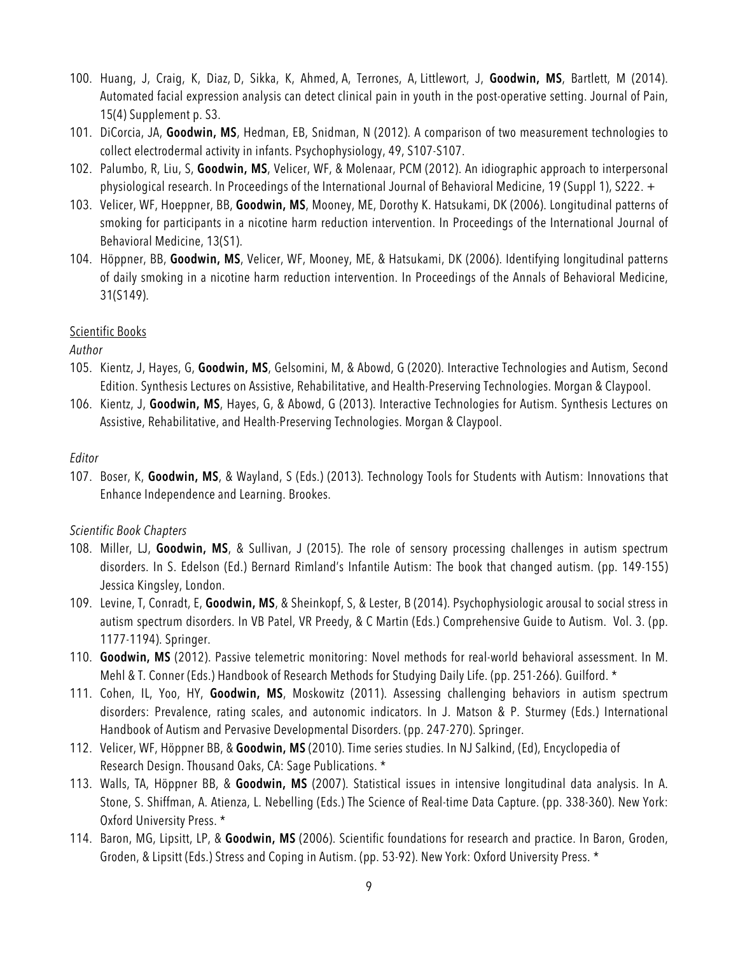- 100. Huang, J, Craig, K, Diaz, D, Sikka, K, Ahmed, A, Terrones, A, Littlewort, J, **Goodwin, MS**, Bartlett, M (2014). Automated facial expression analysis can detect clinical pain in youth in the post-operative setting. Journal of Pain, 15(4) Supplement p. S3.
- 101. DiCorcia, JA, **Goodwin, MS**, Hedman, EB, Snidman, N (2012). A comparison of two measurement technologies to collect electrodermal activity in infants. Psychophysiology, 49, S107-S107.
- 102. Palumbo, R, Liu, S, **Goodwin, MS**, Velicer, WF, & Molenaar, PCM (2012). An idiographic approach to interpersonal physiological research. In Proceedings of the International Journal of Behavioral Medicine, 19 (Suppl 1), S222. +
- 103. Velicer, WF, Hoeppner, BB, **Goodwin, MS**, Mooney, ME, Dorothy K. Hatsukami, DK (2006). Longitudinal patterns of smoking for participants in a nicotine harm reduction intervention. In Proceedings of the International Journal of Behavioral Medicine, 13(S1).
- 104. Höppner, BB, **Goodwin, MS**, Velicer, WF, Mooney, ME, & Hatsukami, DK (2006). Identifying longitudinal patterns of daily smoking in a nicotine harm reduction intervention. In Proceedings of the Annals of Behavioral Medicine, 31(S149).

#### Scientific Books

### *Author*

- 105. Kientz, J, Hayes, G, **Goodwin, MS**, Gelsomini, M, & Abowd, G (2020). Interactive Technologies and Autism, Second Edition. Synthesis Lectures on Assistive, Rehabilitative, and Health-Preserving Technologies. Morgan & Claypool.
- 106. Kientz, J, **Goodwin, MS**, Hayes, G, & Abowd, G (2013). Interactive Technologies for Autism. Synthesis Lectures on Assistive, Rehabilitative, and Health-Preserving Technologies. Morgan & Claypool.

#### *Editor*

107. Boser, K, **Goodwin, MS**, & Wayland, S (Eds.) (2013). Technology Tools for Students with Autism: Innovations that Enhance Independence and Learning. Brookes.

### *Scientific Book Chapters*

- 108. Miller, LJ, **Goodwin, MS**, & Sullivan, J (2015). The role of sensory processing challenges in autism spectrum disorders. In S. Edelson (Ed.) Bernard Rimland's Infantile Autism: The book that changed autism. (pp. 149-155) Jessica Kingsley, London.
- 109. Levine, T, Conradt, E, **Goodwin, MS**, & Sheinkopf, S, & Lester, B (2014). Psychophysiologic arousal to social stress in autism spectrum disorders. In VB Patel, VR Preedy, & C Martin (Eds.) Comprehensive Guide to Autism. Vol. 3. (pp. 1177-1194). Springer.
- 110. **Goodwin, MS** (2012). Passive telemetric monitoring: Novel methods for real-world behavioral assessment. In M. Mehl & T. Conner (Eds.) Handbook of Research Methods for Studying Daily Life. (pp. 251-266). Guilford. \*
- 111. Cohen, IL, Yoo, HY, **Goodwin, MS**, Moskowitz (2011). Assessing challenging behaviors in autism spectrum disorders: Prevalence, rating scales, and autonomic indicators. In J. Matson & P. Sturmey (Eds.) International Handbook of Autism and Pervasive Developmental Disorders. (pp. 247-270). Springer.
- 112. Velicer, WF, Höppner BB, & **Goodwin, MS** (2010). Time series studies. In NJ Salkind, (Ed), Encyclopedia of Research Design. Thousand Oaks, CA: Sage Publications. \*
- 113. Walls, TA, Höppner BB, & **Goodwin, MS** (2007). Statistical issues in intensive longitudinal data analysis. In A. Stone, S. Shiffman, A. Atienza, L. Nebelling (Eds.) The Science of Real-time Data Capture. (pp. 338-360). New York: Oxford University Press. \*
- 114. Baron, MG, Lipsitt, LP, & **Goodwin, MS** (2006). Scientific foundations for research and practice. In Baron, Groden, Groden, & Lipsitt (Eds.) Stress and Coping in Autism. (pp. 53-92). New York: Oxford University Press. \*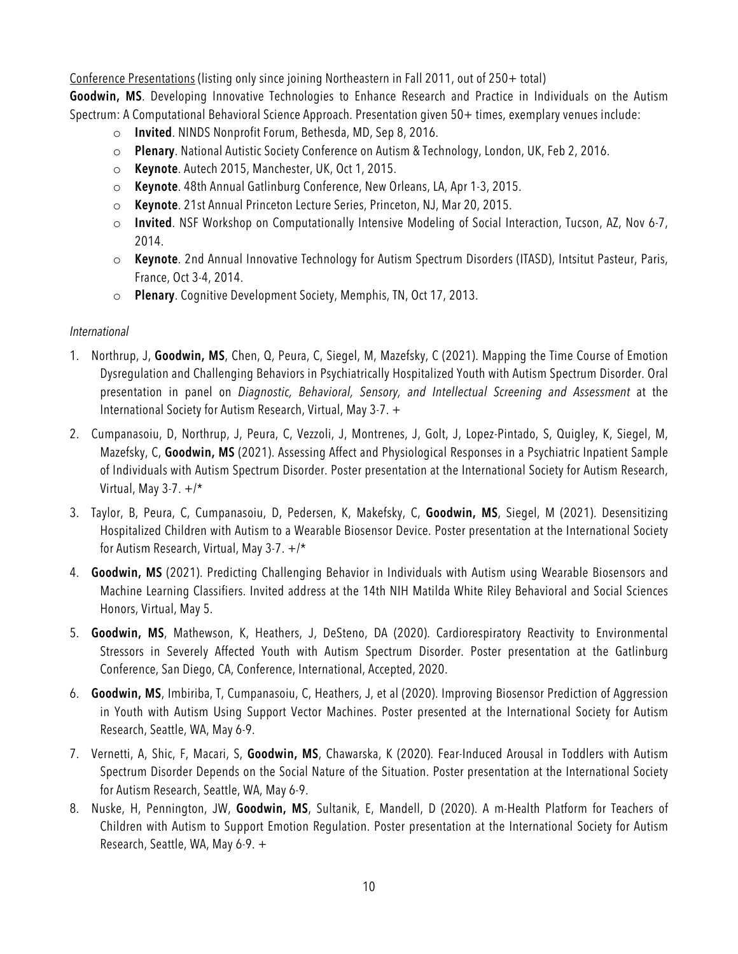Conference Presentations (listing only since joining Northeastern in Fall 2011, out of 250+ total)

**Goodwin, MS**. Developing Innovative Technologies to Enhance Research and Practice in Individuals on the Autism Spectrum: A Computational Behavioral Science Approach. Presentation given 50+ times, exemplary venues include:

- o **Invited**. NINDS Nonprofit Forum, Bethesda, MD, Sep 8, 2016.
- o **Plenary**. National Autistic Society Conference on Autism & Technology, London, UK, Feb 2, 2016.
- o **Keynote**. Autech 2015, Manchester, UK, Oct 1, 2015.
- o **Keynote**. 48th Annual Gatlinburg Conference, New Orleans, LA, Apr 1-3, 2015.
- o **Keynote**. 21st Annual Princeton Lecture Series, Princeton, NJ, Mar 20, 2015.
- o **Invited**. NSF Workshop on Computationally Intensive Modeling of Social Interaction, Tucson, AZ, Nov 6-7, 2014.
- o **Keynote**. 2nd Annual Innovative Technology for Autism Spectrum Disorders (ITASD), Intsitut Pasteur, Paris, France, Oct 3-4, 2014.
- o **Plenary**. Cognitive Development Society, Memphis, TN, Oct 17, 2013.

#### *International*

- 1. Northrup, J, **Goodwin, MS**, Chen, Q, Peura, C, Siegel, M, Mazefsky, C (2021). Mapping the Time Course of Emotion Dysregulation and Challenging Behaviors in Psychiatrically Hospitalized Youth with Autism Spectrum Disorder. Oral presentation in panel on *Diagnostic, Behavioral, Sensory, and Intellectual Screening and Assessment* at the International Society for Autism Research, Virtual, May 3-7. +
- 2. Cumpanasoiu, D, Northrup, J, Peura, C, Vezzoli, J, Montrenes, J, Golt, J, Lopez-Pintado, S, Quigley, K, Siegel, M, Mazefsky, C, **Goodwin, MS** (2021). Assessing Affect and Physiological Responses in a Psychiatric Inpatient Sample of Individuals with Autism Spectrum Disorder. Poster presentation at the International Society for Autism Research, Virtual, May 3-7.  $+/*$
- 3. Taylor, B, Peura, C, Cumpanasoiu, D, Pedersen, K, Makefsky, C, **Goodwin, MS**, Siegel, M (2021). Desensitizing Hospitalized Children with Autism to a Wearable Biosensor Device. Poster presentation at the International Society for Autism Research, Virtual, May 3-7. +/\*
- 4. **Goodwin, MS** (2021). Predicting Challenging Behavior in Individuals with Autism using Wearable Biosensors and Machine Learning Classifiers. Invited address at the 14th NIH Matilda White Riley Behavioral and Social Sciences Honors, Virtual, May 5.
- 5. **Goodwin, MS**, Mathewson, K, Heathers, J, DeSteno, DA (2020). Cardiorespiratory Reactivity to Environmental Stressors in Severely Affected Youth with Autism Spectrum Disorder. Poster presentation at the Gatlinburg Conference, San Diego, CA, Conference, International, Accepted, 2020.
- 6. **Goodwin, MS**, Imbiriba, T, Cumpanasoiu, C, Heathers, J, et al (2020). Improving Biosensor Prediction of Aggression in Youth with Autism Using Support Vector Machines. Poster presented at the International Society for Autism Research, Seattle, WA, May 6-9.
- 7. Vernetti, A, Shic, F, Macari, S, **Goodwin, MS**, Chawarska, K (2020). Fear-Induced Arousal in Toddlers with Autism Spectrum Disorder Depends on the Social Nature of the Situation. Poster presentation at the International Society for Autism Research, Seattle, WA, May 6-9.
- 8. Nuske, H, Pennington, JW, **Goodwin, MS**, Sultanik, E, Mandell, D (2020). A m-Health Platform for Teachers of Children with Autism to Support Emotion Regulation. Poster presentation at the International Society for Autism Research, Seattle, WA, May 6-9. +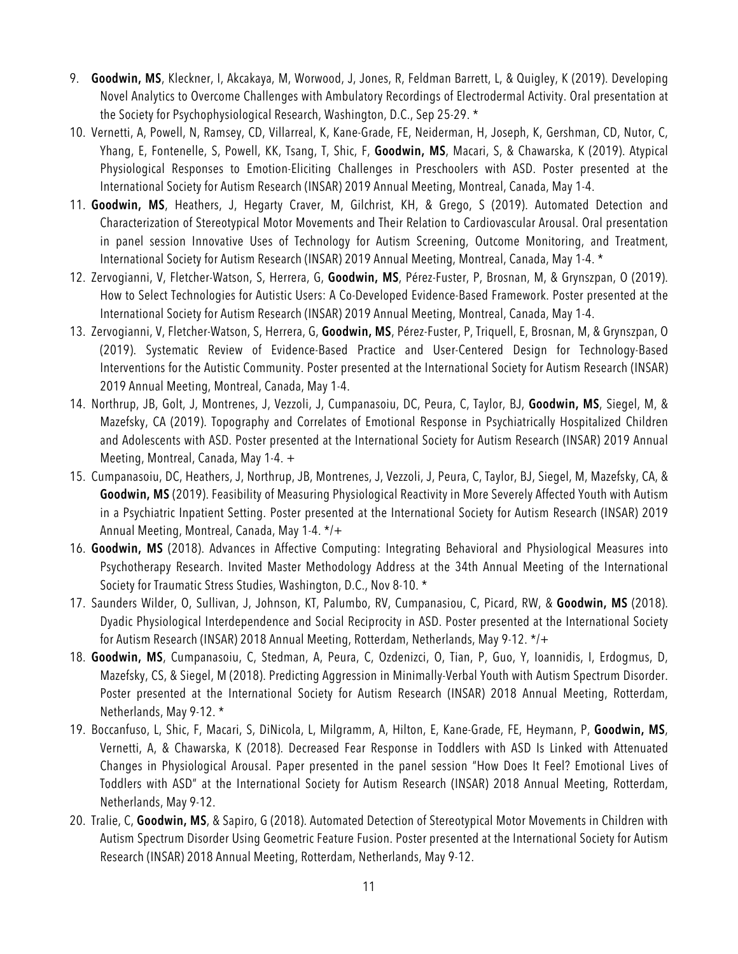- 9. **Goodwin, MS**, Kleckner, I, Akcakaya, M, Worwood, J, Jones, R, Feldman Barrett, L, & Quigley, K (2019). Developing Novel Analytics to Overcome Challenges with Ambulatory Recordings of Electrodermal Activity. Oral presentation at the Society for Psychophysiological Research, Washington, D.C., Sep 25-29. \*
- 10. Vernetti, A, Powell, N, Ramsey, CD, Villarreal, K, Kane-Grade, FE, Neiderman, H, Joseph, K, Gershman, CD, Nutor, C, Yhang, E, Fontenelle, S, Powell, KK, Tsang, T, Shic, F, **Goodwin, MS**, Macari, S, & Chawarska, K (2019). Atypical Physiological Responses to Emotion-Eliciting Challenges in Preschoolers with ASD. Poster presented at the International Society for Autism Research (INSAR) 2019 Annual Meeting, Montreal, Canada, May 1-4.
- 11. **Goodwin, MS**, Heathers, J, Hegarty Craver, M, Gilchrist, KH, & Grego, S (2019). Automated Detection and Characterization of Stereotypical Motor Movements and Their Relation to Cardiovascular Arousal. Oral presentation in panel session Innovative Uses of Technology for Autism Screening, Outcome Monitoring, and Treatment, International Society for Autism Research (INSAR) 2019 Annual Meeting, Montreal, Canada, May 1-4. \*
- 12. Zervogianni, V, Fletcher-Watson, S, Herrera, G, **Goodwin, MS**, Pérez-Fuster, P, Brosnan, M, & Grynszpan, O (2019). How to Select Technologies for Autistic Users: A Co-Developed Evidence-Based Framework. Poster presented at the International Society for Autism Research (INSAR) 2019 Annual Meeting, Montreal, Canada, May 1-4.
- 13. Zervogianni, V, Fletcher-Watson, S, Herrera, G, **Goodwin, MS**, Pérez-Fuster, P, Triquell, E, Brosnan, M, & Grynszpan, O (2019). Systematic Review of Evidence-Based Practice and User-Centered Design for Technology-Based Interventions for the Autistic Community. Poster presented at the International Society for Autism Research (INSAR) 2019 Annual Meeting, Montreal, Canada, May 1-4.
- 14. Northrup, JB, Golt, J, Montrenes, J, Vezzoli, J, Cumpanasoiu, DC, Peura, C, Taylor, BJ, **Goodwin, MS**, Siegel, M, & Mazefsky, CA (2019). Topography and Correlates of Emotional Response in Psychiatrically Hospitalized Children and Adolescents with ASD. Poster presented at the International Society for Autism Research (INSAR) 2019 Annual Meeting, Montreal, Canada, May 1-4. +
- 15. Cumpanasoiu, DC, Heathers, J, Northrup, JB, Montrenes, J, Vezzoli, J, Peura, C, Taylor, BJ, Siegel, M, Mazefsky, CA, & **Goodwin, MS** (2019). Feasibility of Measuring Physiological Reactivity in More Severely Affected Youth with Autism in a Psychiatric Inpatient Setting. Poster presented at the International Society for Autism Research (INSAR) 2019 Annual Meeting, Montreal, Canada, May 1-4. \*/+
- 16. **Goodwin, MS** (2018). Advances in Affective Computing: Integrating Behavioral and Physiological Measures into Psychotherapy Research. Invited Master Methodology Address at the 34th Annual Meeting of the International Society for Traumatic Stress Studies, Washington, D.C., Nov 8-10. \*
- 17. Saunders Wilder, O, Sullivan, J, Johnson, KT, Palumbo, RV, Cumpanasiou, C, Picard, RW, & **Goodwin, MS** (2018). Dyadic Physiological Interdependence and Social Reciprocity in ASD. Poster presented at the International Society for Autism Research (INSAR) 2018 Annual Meeting, Rotterdam, Netherlands, May 9-12. \*/+
- 18. **Goodwin, MS**, Cumpanasoiu, C, Stedman, A, Peura, C, Ozdenizci, O, Tian, P, Guo, Y, Ioannidis, I, Erdogmus, D, Mazefsky, CS, & Siegel, M (2018). Predicting Aggression in Minimally-Verbal Youth with Autism Spectrum Disorder. Poster presented at the International Society for Autism Research (INSAR) 2018 Annual Meeting, Rotterdam, Netherlands, May 9-12. \*
- 19. Boccanfuso, L, Shic, F, Macari, S, DiNicola, L, Milgramm, A, Hilton, E, Kane-Grade, FE, Heymann, P, **Goodwin, MS**, Vernetti, A, & Chawarska, K (2018). Decreased Fear Response in Toddlers with ASD Is Linked with Attenuated Changes in Physiological Arousal. Paper presented in the panel session "How Does It Feel? Emotional Lives of Toddlers with ASD" at the International Society for Autism Research (INSAR) 2018 Annual Meeting, Rotterdam, Netherlands, May 9-12.
- 20. Tralie, C, **Goodwin, MS**, & Sapiro, G (2018). Automated Detection of Stereotypical Motor Movements in Children with Autism Spectrum Disorder Using Geometric Feature Fusion. Poster presented at the International Society for Autism Research (INSAR) 2018 Annual Meeting, Rotterdam, Netherlands, May 9-12.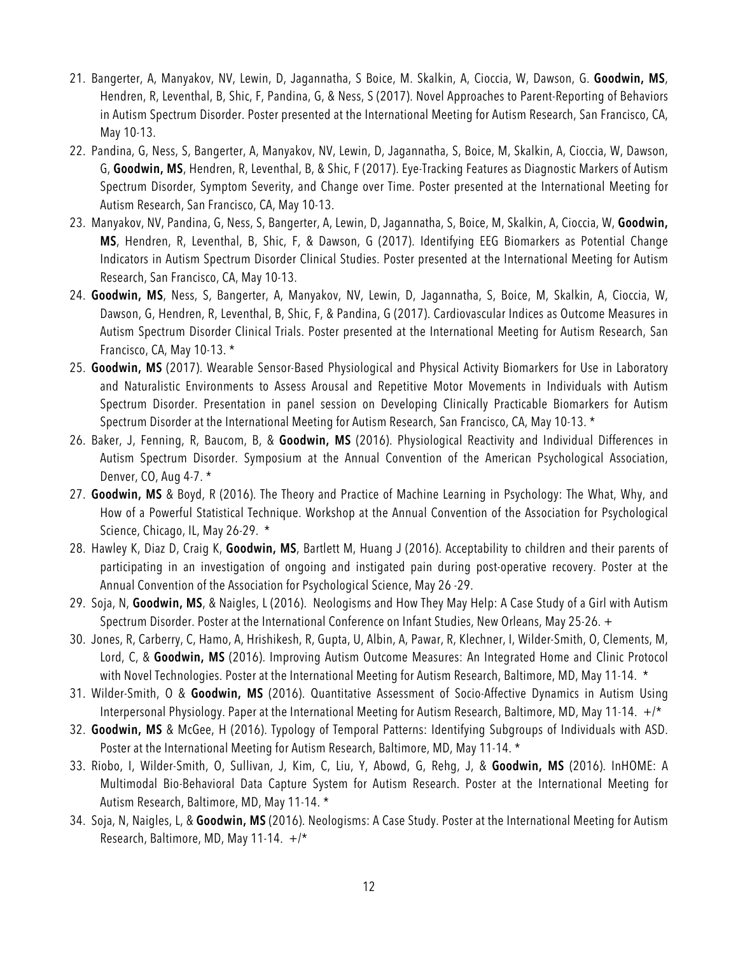- 21. Bangerter, A, Manyakov, NV, Lewin, D, Jagannatha, S Boice, M. Skalkin, A, Cioccia, W, Dawson, G. **Goodwin, MS**, Hendren, R, Leventhal, B, Shic, F, Pandina, G, & Ness, S (2017). Novel Approaches to Parent-Reporting of Behaviors in Autism Spectrum Disorder. Poster presented at the International Meeting for Autism Research, San Francisco, CA, May 10-13.
- 22. Pandina, G, Ness, S, Bangerter, A, Manyakov, NV, Lewin, D, Jagannatha, S, Boice, M, Skalkin, A, Cioccia, W, Dawson, G, **Goodwin, MS**, Hendren, R, Leventhal, B, & Shic, F (2017). Eye-Tracking Features as Diagnostic Markers of Autism Spectrum Disorder, Symptom Severity, and Change over Time. Poster presented at the International Meeting for Autism Research, San Francisco, CA, May 10-13.
- 23. Manyakov, NV, Pandina, G, Ness, S, Bangerter, A, Lewin, D, Jagannatha, S, Boice, M, Skalkin, A, Cioccia, W, **Goodwin, MS**, Hendren, R, Leventhal, B, Shic, F, & Dawson, G (2017). Identifying EEG Biomarkers as Potential Change Indicators in Autism Spectrum Disorder Clinical Studies. Poster presented at the International Meeting for Autism Research, San Francisco, CA, May 10-13.
- 24. **Goodwin, MS**, Ness, S, Bangerter, A, Manyakov, NV, Lewin, D, Jagannatha, S, Boice, M, Skalkin, A, Cioccia, W, Dawson, G, Hendren, R, Leventhal, B, Shic, F, & Pandina, G (2017). Cardiovascular Indices as Outcome Measures in Autism Spectrum Disorder Clinical Trials. Poster presented at the International Meeting for Autism Research, San Francisco, CA, May 10-13. \*
- 25. **Goodwin, MS** (2017). Wearable Sensor-Based Physiological and Physical Activity Biomarkers for Use in Laboratory and Naturalistic Environments to Assess Arousal and Repetitive Motor Movements in Individuals with Autism Spectrum Disorder. Presentation in panel session on Developing Clinically Practicable Biomarkers for Autism Spectrum Disorder at the International Meeting for Autism Research, San Francisco, CA, May 10-13. \*
- 26. Baker, J, Fenning, R, Baucom, B, & **Goodwin, MS** (2016). Physiological Reactivity and Individual Differences in Autism Spectrum Disorder. Symposium at the Annual Convention of the American Psychological Association, Denver, CO, Aug 4-7. \*
- 27. **Goodwin, MS** & Boyd, R (2016). The Theory and Practice of Machine Learning in Psychology: The What, Why, and How of a Powerful Statistical Technique. Workshop at the Annual Convention of the Association for Psychological Science, Chicago, IL, May 26-29. \*
- 28. Hawley K, Diaz D, Craig K, **Goodwin, MS**, Bartlett M, Huang J (2016). Acceptability to children and their parents of participating in an investigation of ongoing and instigated pain during post-operative recovery. Poster at the Annual Convention of the Association for Psychological Science, May 26 -29.
- 29. Soja, N, **Goodwin, MS**, & Naigles, L (2016). Neologisms and How They May Help: A Case Study of a Girl with Autism Spectrum Disorder. Poster at the International Conference on Infant Studies, New Orleans, May 25-26. +
- 30. Jones, R, Carberry, C, Hamo, A, Hrishikesh, R, Gupta, U, Albin, A, Pawar, R, Klechner, I, Wilder-Smith, O, Clements, M, Lord, C, & **Goodwin, MS** (2016). Improving Autism Outcome Measures: An Integrated Home and Clinic Protocol with Novel Technologies. Poster at the International Meeting for Autism Research, Baltimore, MD, May 11-14. \*
- 31. Wilder-Smith, O & **Goodwin, MS** (2016). Quantitative Assessment of Socio-Affective Dynamics in Autism Using Interpersonal Physiology. Paper at the International Meeting for Autism Research, Baltimore, MD, May 11-14. +/\*
- 32. **Goodwin, MS** & McGee, H (2016). Typology of Temporal Patterns: Identifying Subgroups of Individuals with ASD. Poster at the International Meeting for Autism Research, Baltimore, MD, May 11-14. \*
- 33. Riobo, I, Wilder-Smith, O, Sullivan, J, Kim, C, Liu, Y, Abowd, G, Rehg, J, & **Goodwin, MS** (2016). InHOME: A Multimodal Bio-Behavioral Data Capture System for Autism Research. Poster at the International Meeting for Autism Research, Baltimore, MD, May 11-14. \*
- 34. Soja, N, Naigles, L, & **Goodwin, MS** (2016). Neologisms: A Case Study. Poster at the International Meeting for Autism Research, Baltimore, MD, May 11-14. +/\*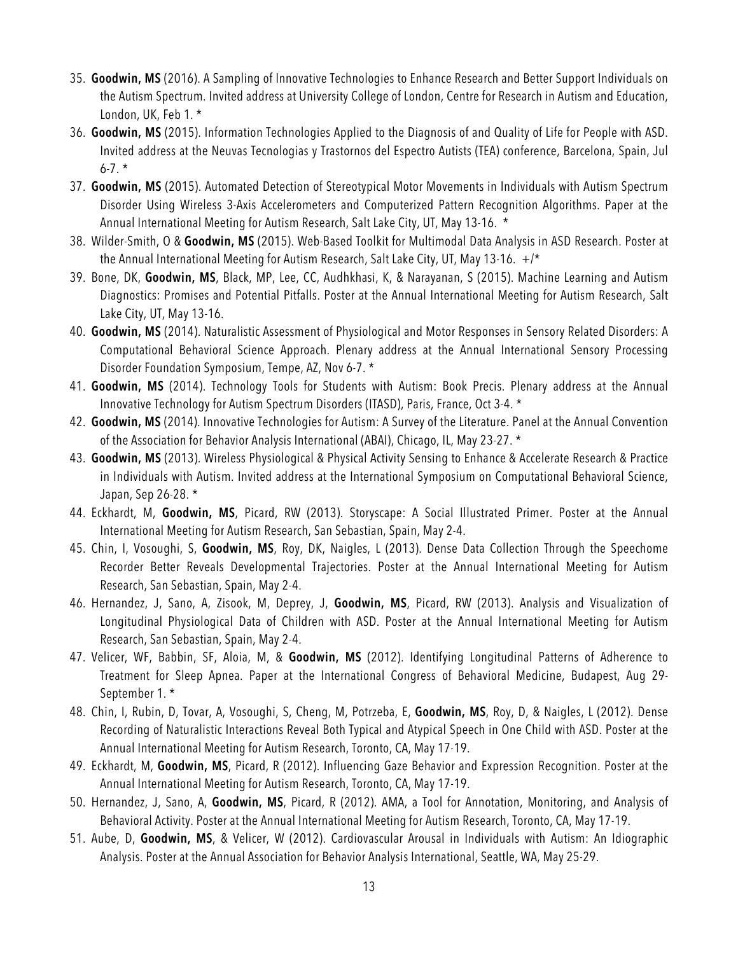- 35. **Goodwin, MS** (2016). A Sampling of Innovative Technologies to Enhance Research and Better Support Individuals on the Autism Spectrum. Invited address at University College of London, Centre for Research in Autism and Education, London, UK, Feb 1. \*
- 36. **Goodwin, MS** (2015). Information Technologies Applied to the Diagnosis of and Quality of Life for People with ASD. Invited address at the Neuvas Tecnologias y Trastornos del Espectro Autists (TEA) conference, Barcelona, Spain, Jul  $6 - 7.$  \*
- 37. **Goodwin, MS** (2015). Automated Detection of Stereotypical Motor Movements in Individuals with Autism Spectrum Disorder Using Wireless 3-Axis Accelerometers and Computerized Pattern Recognition Algorithms. Paper at the Annual International Meeting for Autism Research, Salt Lake City, UT, May 13-16. \*
- 38. Wilder-Smith, O & **Goodwin, MS** (2015). Web-Based Toolkit for Multimodal Data Analysis in ASD Research. Poster at the Annual International Meeting for Autism Research, Salt Lake City, UT, May 13-16.  $+/*$
- 39. Bone, DK, **Goodwin, MS**, Black, MP, Lee, CC, Audhkhasi, K, & Narayanan, S (2015). Machine Learning and Autism Diagnostics: Promises and Potential Pitfalls. Poster at the Annual International Meeting for Autism Research, Salt Lake City, UT, May 13-16.
- 40. **Goodwin, MS** (2014). Naturalistic Assessment of Physiological and Motor Responses in Sensory Related Disorders: A Computational Behavioral Science Approach. Plenary address at the Annual International Sensory Processing Disorder Foundation Symposium, Tempe, AZ, Nov 6-7. \*
- 41. **Goodwin, MS** (2014). Technology Tools for Students with Autism: Book Precis. Plenary address at the Annual Innovative Technology for Autism Spectrum Disorders (ITASD), Paris, France, Oct 3-4. \*
- 42. **Goodwin, MS** (2014). Innovative Technologies for Autism: A Survey of the Literature. Panel at the Annual Convention of the Association for Behavior Analysis International (ABAI), Chicago, IL, May 23-27. \*
- 43. **Goodwin, MS** (2013). Wireless Physiological & Physical Activity Sensing to Enhance & Accelerate Research & Practice in Individuals with Autism. Invited address at the International Symposium on Computational Behavioral Science, Japan, Sep 26-28. \*
- 44. Eckhardt, M, **Goodwin, MS**, Picard, RW (2013). Storyscape: A Social Illustrated Primer. Poster at the Annual International Meeting for Autism Research, San Sebastian, Spain, May 2-4.
- 45. Chin, I, Vosoughi, S, **Goodwin, MS**, Roy, DK, Naigles, L (2013). Dense Data Collection Through the Speechome Recorder Better Reveals Developmental Trajectories. Poster at the Annual International Meeting for Autism Research, San Sebastian, Spain, May 2-4.
- 46. Hernandez, J, Sano, A, Zisook, M, Deprey, J, **Goodwin, MS**, Picard, RW (2013). Analysis and Visualization of Longitudinal Physiological Data of Children with ASD. Poster at the Annual International Meeting for Autism Research, San Sebastian, Spain, May 2-4.
- 47. Velicer, WF, Babbin, SF, Aloia, M, & **Goodwin, MS** (2012). Identifying Longitudinal Patterns of Adherence to Treatment for Sleep Apnea. Paper at the International Congress of Behavioral Medicine, Budapest, Aug 29- September 1. \*
- 48. Chin, I, Rubin, D, Tovar, A, Vosoughi, S, Cheng, M, Potrzeba, E, **Goodwin, MS**, Roy, D, & Naigles, L (2012). Dense Recording of Naturalistic Interactions Reveal Both Typical and Atypical Speech in One Child with ASD. Poster at the Annual International Meeting for Autism Research, Toronto, CA, May 17-19.
- 49. Eckhardt, M, **Goodwin, MS**, Picard, R (2012). Influencing Gaze Behavior and Expression Recognition. Poster at the Annual International Meeting for Autism Research, Toronto, CA, May 17-19.
- 50. Hernandez, J, Sano, A, **Goodwin, MS**, Picard, R (2012). AMA, a Tool for Annotation, Monitoring, and Analysis of Behavioral Activity. Poster at the Annual International Meeting for Autism Research, Toronto, CA, May 17-19.
- 51. Aube, D, **Goodwin, MS**, & Velicer, W (2012). Cardiovascular Arousal in Individuals with Autism: An Idiographic Analysis. Poster at the Annual Association for Behavior Analysis International, Seattle, WA, May 25-29.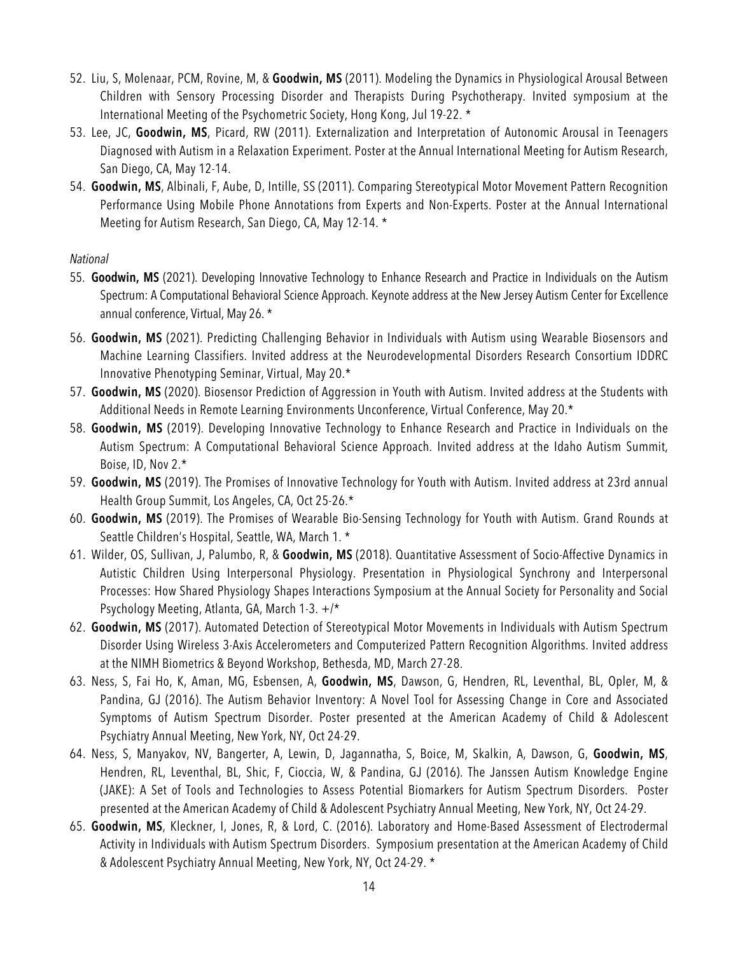- 52. Liu, S, Molenaar, PCM, Rovine, M, & **Goodwin, MS** (2011). Modeling the Dynamics in Physiological Arousal Between Children with Sensory Processing Disorder and Therapists During Psychotherapy. Invited symposium at the International Meeting of the Psychometric Society, Hong Kong, Jul 19-22. \*
- 53. Lee, JC, **Goodwin, MS**, Picard, RW (2011). Externalization and Interpretation of Autonomic Arousal in Teenagers Diagnosed with Autism in a Relaxation Experiment. Poster at the Annual International Meeting for Autism Research, San Diego, CA, May 12-14.
- 54. **Goodwin, MS**, Albinali, F, Aube, D, Intille, SS (2011). Comparing Stereotypical Motor Movement Pattern Recognition Performance Using Mobile Phone Annotations from Experts and Non-Experts. Poster at the Annual International Meeting for Autism Research, San Diego, CA, May 12-14. \*

#### *National*

- 55. **Goodwin, MS** (2021). Developing Innovative Technology to Enhance Research and Practice in Individuals on the Autism Spectrum: A Computational Behavioral Science Approach. Keynote address at the New Jersey Autism Center for Excellence annual conference, Virtual, May 26. \*
- 56. **Goodwin, MS** (2021). Predicting Challenging Behavior in Individuals with Autism using Wearable Biosensors and Machine Learning Classifiers. Invited address at the Neurodevelopmental Disorders Research Consortium IDDRC Innovative Phenotyping Seminar, Virtual, May 20.\*
- 57. **Goodwin, MS** (2020). Biosensor Prediction of Aggression in Youth with Autism. Invited address at the Students with Additional Needs in Remote Learning Environments Unconference, Virtual Conference, May 20.\*
- 58. **Goodwin, MS** (2019). Developing Innovative Technology to Enhance Research and Practice in Individuals on the Autism Spectrum: A Computational Behavioral Science Approach. Invited address at the Idaho Autism Summit, Boise, ID, Nov 2.\*
- 59. **Goodwin, MS** (2019). The Promises of Innovative Technology for Youth with Autism. Invited address at 23rd annual Health Group Summit, Los Angeles, CA, Oct 25-26.\*
- 60. **Goodwin, MS** (2019). The Promises of Wearable Bio-Sensing Technology for Youth with Autism. Grand Rounds at Seattle Children's Hospital, Seattle, WA, March 1. \*
- 61. Wilder, OS, Sullivan, J, Palumbo, R, & **Goodwin, MS** (2018). Quantitative Assessment of Socio-Affective Dynamics in Autistic Children Using Interpersonal Physiology. Presentation in Physiological Synchrony and Interpersonal Processes: How Shared Physiology Shapes Interactions Symposium at the Annual Society for Personality and Social Psychology Meeting, Atlanta, GA, March 1-3. +/\*
- 62. **Goodwin, MS** (2017). Automated Detection of Stereotypical Motor Movements in Individuals with Autism Spectrum Disorder Using Wireless 3-Axis Accelerometers and Computerized Pattern Recognition Algorithms. Invited address at the NIMH Biometrics & Beyond Workshop, Bethesda, MD, March 27-28.
- 63. Ness, S, Fai Ho, K, Aman, MG, Esbensen, A, **Goodwin, MS**, Dawson, G, Hendren, RL, Leventhal, BL, Opler, M, & Pandina, GJ (2016). The Autism Behavior Inventory: A Novel Tool for Assessing Change in Core and Associated Symptoms of Autism Spectrum Disorder. Poster presented at the American Academy of Child & Adolescent Psychiatry Annual Meeting, New York, NY, Oct 24-29.
- 64. Ness, S, Manyakov, NV, Bangerter, A, Lewin, D, Jagannatha, S, Boice, M, Skalkin, A, Dawson, G, **Goodwin, MS**, Hendren, RL, Leventhal, BL, Shic, F, Cioccia, W, & Pandina, GJ (2016). The Janssen Autism Knowledge Engine (JAKE): A Set of Tools and Technologies to Assess Potential Biomarkers for Autism Spectrum Disorders. Poster presented at the American Academy of Child & Adolescent Psychiatry Annual Meeting, New York, NY, Oct 24-29.
- 65. **Goodwin, MS**, Kleckner, I, Jones, R, & Lord, C. (2016). Laboratory and Home-Based Assessment of Electrodermal Activity in Individuals with Autism Spectrum Disorders. Symposium presentation at the American Academy of Child & Adolescent Psychiatry Annual Meeting, New York, NY, Oct 24-29. \*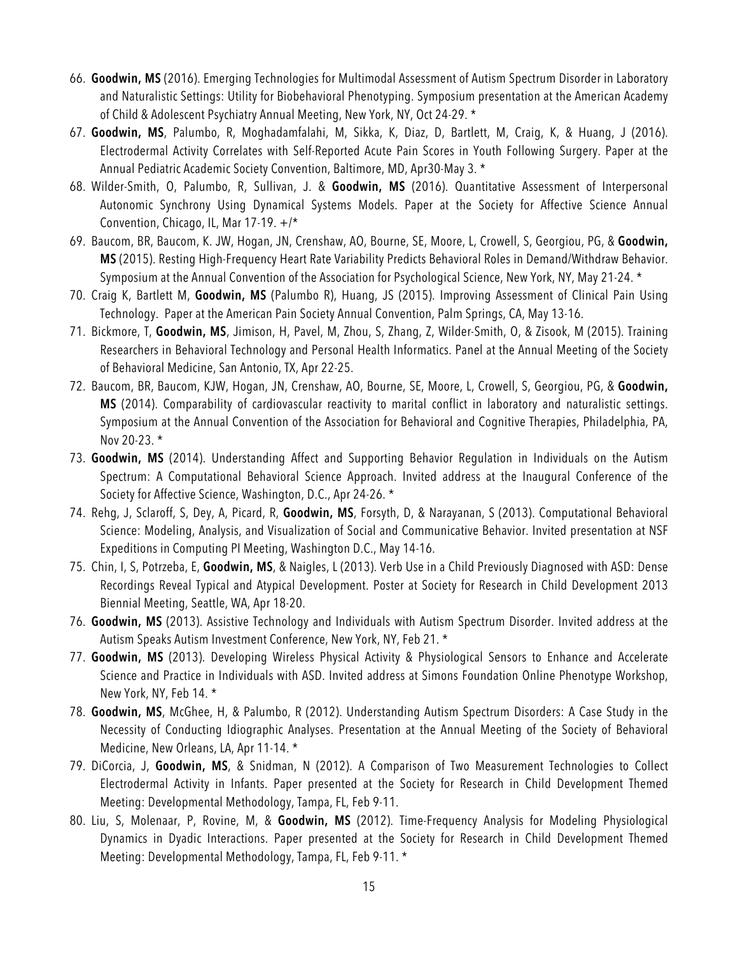- 66. **Goodwin, MS** (2016). Emerging Technologies for Multimodal Assessment of Autism Spectrum Disorder in Laboratory and Naturalistic Settings: Utility for Biobehavioral Phenotyping. Symposium presentation at the American Academy of Child & Adolescent Psychiatry Annual Meeting, New York, NY, Oct 24-29. \*
- 67. **Goodwin, MS**, Palumbo, R, Moghadamfalahi, M, Sikka, K, Diaz, D, Bartlett, M, Craig, K, & Huang, J (2016). Electrodermal Activity Correlates with Self-Reported Acute Pain Scores in Youth Following Surgery. Paper at the Annual Pediatric Academic Society Convention, Baltimore, MD, Apr30-May 3. \*
- 68. Wilder-Smith, O, Palumbo, R, Sullivan, J. & **Goodwin, MS** (2016). Quantitative Assessment of Interpersonal Autonomic Synchrony Using Dynamical Systems Models. Paper at the Society for Affective Science Annual Convention, Chicago, IL, Mar 17-19. +/\*
- 69. Baucom, BR, Baucom, K. JW, Hogan, JN, Crenshaw, AO, Bourne, SE, Moore, L, Crowell, S, Georgiou, PG, & **Goodwin, MS** (2015). Resting High-Frequency Heart Rate Variability Predicts Behavioral Roles in Demand/Withdraw Behavior. Symposium at the Annual Convention of the Association for Psychological Science, New York, NY, May 21-24. \*
- 70. Craig K, Bartlett M, **Goodwin, MS** (Palumbo R), Huang, JS (2015). Improving Assessment of Clinical Pain Using Technology. Paper at the American Pain Society Annual Convention, Palm Springs, CA, May 13-16.
- 71. Bickmore, T, **Goodwin, MS**, Jimison, H, Pavel, M, Zhou, S, Zhang, Z, Wilder-Smith, O, & Zisook, M (2015). Training Researchers in Behavioral Technology and Personal Health Informatics. Panel at the Annual Meeting of the Society of Behavioral Medicine, San Antonio, TX, Apr 22-25.
- 72. Baucom, BR, Baucom, KJW, Hogan, JN, Crenshaw, AO, Bourne, SE, Moore, L, Crowell, S, Georgiou, PG, & **Goodwin, MS** (2014). Comparability of cardiovascular reactivity to marital conflict in laboratory and naturalistic settings. Symposium at the Annual Convention of the Association for Behavioral and Cognitive Therapies, Philadelphia, PA, Nov 20-23. \*
- 73. **Goodwin, MS** (2014). Understanding Affect and Supporting Behavior Regulation in Individuals on the Autism Spectrum: A Computational Behavioral Science Approach. Invited address at the Inaugural Conference of the Society for Affective Science, Washington, D.C., Apr 24-26. \*
- 74. Rehg, J, Sclaroff, S, Dey, A, Picard, R, **Goodwin, MS**, Forsyth, D, & Narayanan, S (2013). Computational Behavioral Science: Modeling, Analysis, and Visualization of Social and Communicative Behavior. Invited presentation at NSF Expeditions in Computing PI Meeting, Washington D.C., May 14-16.
- 75. Chin, I, S, Potrzeba, E, **Goodwin, MS**, & Naigles, L (2013). Verb Use in a Child Previously Diagnosed with ASD: Dense Recordings Reveal Typical and Atypical Development. Poster at Society for Research in Child Development 2013 Biennial Meeting, Seattle, WA, Apr 18-20.
- 76. **Goodwin, MS** (2013). Assistive Technology and Individuals with Autism Spectrum Disorder. Invited address at the Autism Speaks Autism Investment Conference, New York, NY, Feb 21. \*
- 77. **Goodwin, MS** (2013). Developing Wireless Physical Activity & Physiological Sensors to Enhance and Accelerate Science and Practice in Individuals with ASD. Invited address at Simons Foundation Online Phenotype Workshop, New York, NY, Feb 14. \*
- 78. **Goodwin, MS**, McGhee, H, & Palumbo, R (2012). Understanding Autism Spectrum Disorders: A Case Study in the Necessity of Conducting Idiographic Analyses. Presentation at the Annual Meeting of the Society of Behavioral Medicine, New Orleans, LA, Apr 11-14. \*
- 79. DiCorcia, J, **Goodwin, MS**, & Snidman, N (2012). A Comparison of Two Measurement Technologies to Collect Electrodermal Activity in Infants. Paper presented at the Society for Research in Child Development Themed Meeting: Developmental Methodology, Tampa, FL, Feb 9-11.
- 80. Liu, S, Molenaar, P, Rovine, M, & **Goodwin, MS** (2012). Time-Frequency Analysis for Modeling Physiological Dynamics in Dyadic Interactions. Paper presented at the Society for Research in Child Development Themed Meeting: Developmental Methodology, Tampa, FL, Feb 9-11. \*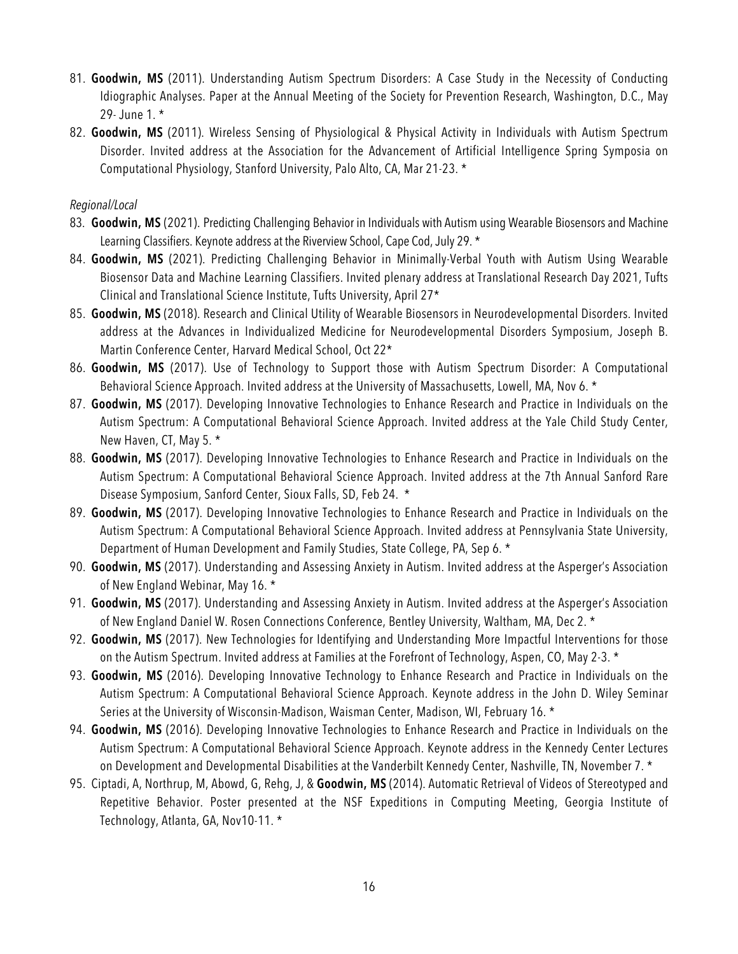- 81. **Goodwin, MS** (2011). Understanding Autism Spectrum Disorders: A Case Study in the Necessity of Conducting Idiographic Analyses. Paper at the Annual Meeting of the Society for Prevention Research, Washington, D.C., May 29- June 1. \*
- 82. **Goodwin, MS** (2011). Wireless Sensing of Physiological & Physical Activity in Individuals with Autism Spectrum Disorder. Invited address at the Association for the Advancement of Artificial Intelligence Spring Symposia on Computational Physiology, Stanford University, Palo Alto, CA, Mar 21-23. \*

#### *Regional/Local*

- 83. **Goodwin, MS** (2021). Predicting Challenging Behavior in Individuals with Autism using Wearable Biosensors and Machine Learning Classifiers. Keynote address at the Riverview School, Cape Cod, July 29. \*
- 84. **Goodwin, MS** (2021). Predicting Challenging Behavior in Minimally-Verbal Youth with Autism Using Wearable Biosensor Data and Machine Learning Classifiers. Invited plenary address at Translational Research Day 2021, Tufts Clinical and Translational Science Institute, Tufts University, April 27\*
- 85. **Goodwin, MS** (2018). Research and Clinical Utility of Wearable Biosensors in Neurodevelopmental Disorders. Invited address at the Advances in Individualized Medicine for Neurodevelopmental Disorders Symposium, Joseph B. Martin Conference Center, Harvard Medical School, Oct 22\*
- 86. **Goodwin, MS** (2017). Use of Technology to Support those with Autism Spectrum Disorder: A Computational Behavioral Science Approach. Invited address at the University of Massachusetts, Lowell, MA, Nov 6. \*
- 87. **Goodwin, MS** (2017). Developing Innovative Technologies to Enhance Research and Practice in Individuals on the Autism Spectrum: A Computational Behavioral Science Approach. Invited address at the Yale Child Study Center, New Haven, CT, May 5. \*
- 88. **Goodwin, MS** (2017). Developing Innovative Technologies to Enhance Research and Practice in Individuals on the Autism Spectrum: A Computational Behavioral Science Approach. Invited address at the 7th Annual Sanford Rare Disease Symposium, Sanford Center, Sioux Falls, SD, Feb 24. \*
- 89. **Goodwin, MS** (2017). Developing Innovative Technologies to Enhance Research and Practice in Individuals on the Autism Spectrum: A Computational Behavioral Science Approach. Invited address at Pennsylvania State University, Department of Human Development and Family Studies, State College, PA, Sep 6. \*
- 90. **Goodwin, MS** (2017). Understanding and Assessing Anxiety in Autism. Invited address at the Asperger's Association of New England Webinar, May 16. \*
- 91. **Goodwin, MS** (2017). Understanding and Assessing Anxiety in Autism. Invited address at the Asperger's Association of New England Daniel W. Rosen Connections Conference, Bentley University, Waltham, MA, Dec 2. \*
- 92. **Goodwin, MS** (2017). New Technologies for Identifying and Understanding More Impactful Interventions for those on the Autism Spectrum. Invited address at Families at the Forefront of Technology, Aspen, CO, May 2-3. \*
- 93. **Goodwin, MS** (2016). Developing Innovative Technology to Enhance Research and Practice in Individuals on the Autism Spectrum: A Computational Behavioral Science Approach. Keynote address in the John D. Wiley Seminar Series at the University of Wisconsin-Madison, Waisman Center, Madison, WI, February 16. \*
- 94. **Goodwin, MS** (2016). Developing Innovative Technologies to Enhance Research and Practice in Individuals on the Autism Spectrum: A Computational Behavioral Science Approach. Keynote address in the Kennedy Center Lectures on Development and Developmental Disabilities at the Vanderbilt Kennedy Center, Nashville, TN, November 7. \*
- 95. Ciptadi, A, Northrup, M, Abowd, G, Rehg, J, & **Goodwin, MS** (2014). Automatic Retrieval of Videos of Stereotyped and Repetitive Behavior. Poster presented at the NSF Expeditions in Computing Meeting, Georgia Institute of Technology, Atlanta, GA, Nov10-11. \*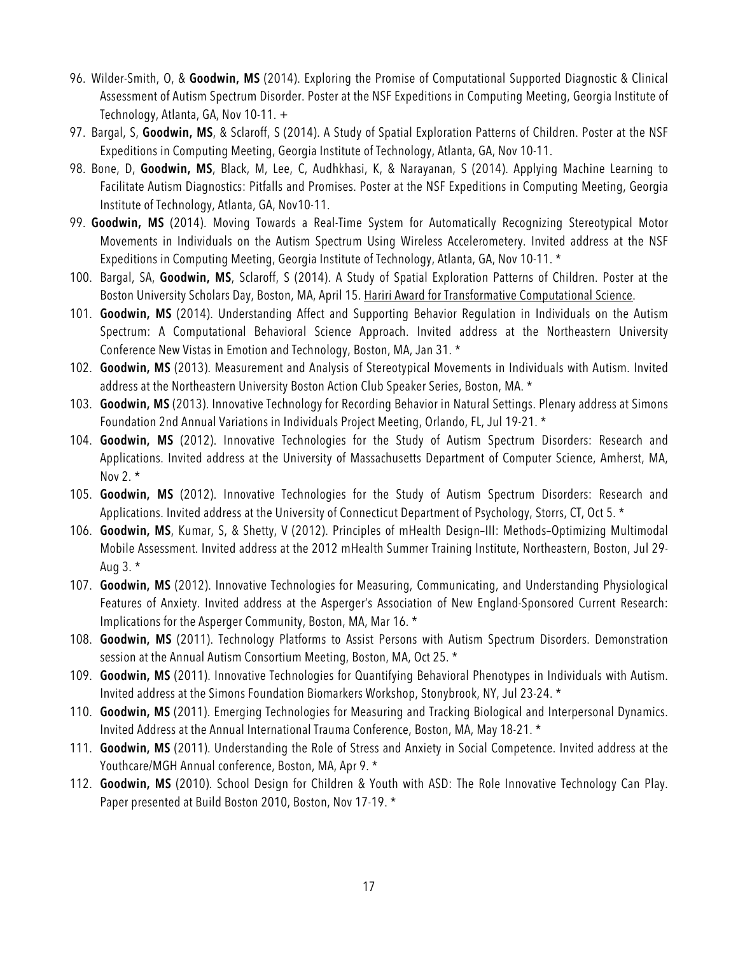- 96. Wilder-Smith, O, & **Goodwin, MS** (2014). Exploring the Promise of Computational Supported Diagnostic & Clinical Assessment of Autism Spectrum Disorder. Poster at the NSF Expeditions in Computing Meeting, Georgia Institute of Technology, Atlanta, GA, Nov 10-11. +
- 97. Bargal, S, **Goodwin, MS**, & Sclaroff, S (2014). A Study of Spatial Exploration Patterns of Children. Poster at the NSF Expeditions in Computing Meeting, Georgia Institute of Technology, Atlanta, GA, Nov 10-11.
- 98. Bone, D, **Goodwin, MS**, Black, M, Lee, C, Audhkhasi, K, & Narayanan, S (2014). Applying Machine Learning to Facilitate Autism Diagnostics: Pitfalls and Promises. Poster at the NSF Expeditions in Computing Meeting, Georgia Institute of Technology, Atlanta, GA, Nov10-11.
- 99. **Goodwin, MS** (2014). Moving Towards a Real-Time System for Automatically Recognizing Stereotypical Motor Movements in Individuals on the Autism Spectrum Using Wireless Accelerometery. Invited address at the NSF Expeditions in Computing Meeting, Georgia Institute of Technology, Atlanta, GA, Nov 10-11. \*
- 100. Bargal, SA, **Goodwin, MS**, Sclaroff, S (2014). A Study of Spatial Exploration Patterns of Children. Poster at the Boston University Scholars Day, Boston, MA, April 15. Hariri Award for Transformative Computational Science.
- 101. **Goodwin, MS** (2014). Understanding Affect and Supporting Behavior Regulation in Individuals on the Autism Spectrum: A Computational Behavioral Science Approach. Invited address at the Northeastern University Conference New Vistas in Emotion and Technology, Boston, MA, Jan 31. \*
- 102. **Goodwin, MS** (2013). Measurement and Analysis of Stereotypical Movements in Individuals with Autism. Invited address at the Northeastern University Boston Action Club Speaker Series, Boston, MA. \*
- 103. **Goodwin, MS** (2013). Innovative Technology for Recording Behavior in Natural Settings. Plenary address at Simons Foundation 2nd Annual Variations in Individuals Project Meeting, Orlando, FL, Jul 19-21. \*
- 104. **Goodwin, MS** (2012). Innovative Technologies for the Study of Autism Spectrum Disorders: Research and Applications. Invited address at the University of Massachusetts Department of Computer Science, Amherst, MA, Nov 2.  $*$
- 105. **Goodwin, MS** (2012). Innovative Technologies for the Study of Autism Spectrum Disorders: Research and Applications. Invited address at the University of Connecticut Department of Psychology, Storrs, CT, Oct 5. \*
- 106. **Goodwin, MS**, Kumar, S, & Shetty, V (2012). Principles of mHealth Design–III: Methods–Optimizing Multimodal Mobile Assessment. Invited address at the 2012 mHealth Summer Training Institute, Northeastern, Boston, Jul 29- Aug  $3.*$
- 107. **Goodwin, MS** (2012). Innovative Technologies for Measuring, Communicating, and Understanding Physiological Features of Anxiety. Invited address at the Asperger's Association of New England-Sponsored Current Research: Implications for the Asperger Community, Boston, MA, Mar 16. \*
- 108. **Goodwin, MS** (2011). Technology Platforms to Assist Persons with Autism Spectrum Disorders. Demonstration session at the Annual Autism Consortium Meeting, Boston, MA, Oct 25. \*
- 109. **Goodwin, MS** (2011). Innovative Technologies for Quantifying Behavioral Phenotypes in Individuals with Autism. Invited address at the Simons Foundation Biomarkers Workshop, Stonybrook, NY, Jul 23-24. \*
- 110. **Goodwin, MS** (2011). Emerging Technologies for Measuring and Tracking Biological and Interpersonal Dynamics. Invited Address at the Annual International Trauma Conference, Boston, MA, May 18-21. \*
- 111. **Goodwin, MS** (2011). Understanding the Role of Stress and Anxiety in Social Competence. Invited address at the Youthcare/MGH Annual conference, Boston, MA, Apr 9. \*
- 112. **Goodwin, MS** (2010). School Design for Children & Youth with ASD: The Role Innovative Technology Can Play. Paper presented at Build Boston 2010, Boston, Nov 17-19. \*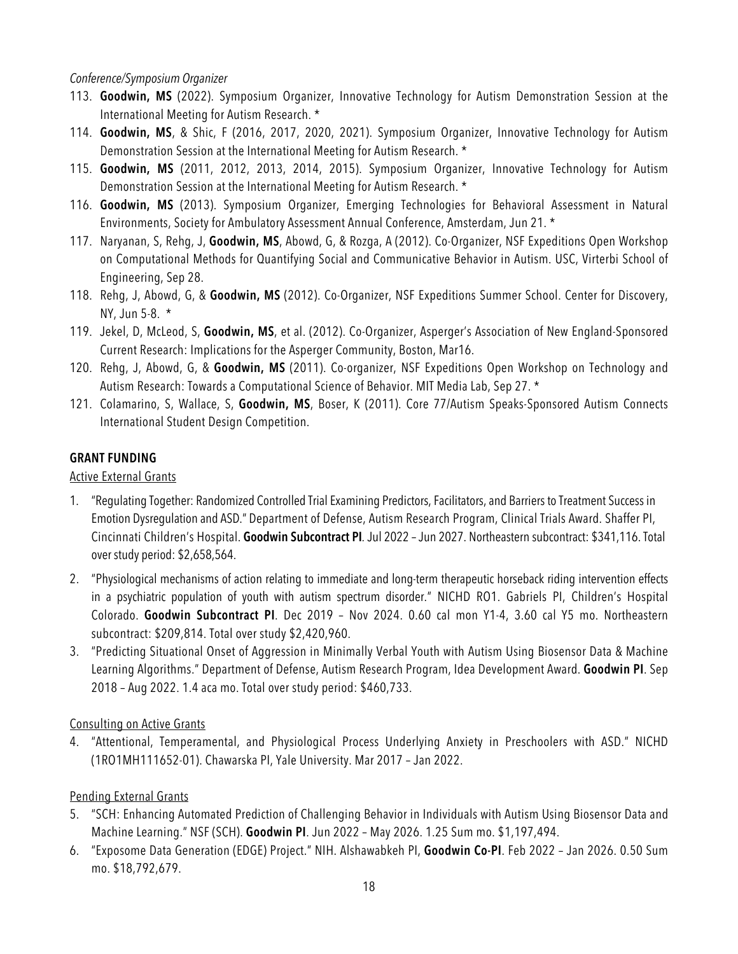#### *Conference/Symposium Organizer*

- 113. **Goodwin, MS** (2022). Symposium Organizer, Innovative Technology for Autism Demonstration Session at the International Meeting for Autism Research. \*
- 114. **Goodwin, MS**, & Shic, F (2016, 2017, 2020, 2021). Symposium Organizer, Innovative Technology for Autism Demonstration Session at the International Meeting for Autism Research. \*
- 115. **Goodwin, MS** (2011, 2012, 2013, 2014, 2015). Symposium Organizer, Innovative Technology for Autism Demonstration Session at the International Meeting for Autism Research. \*
- 116. **Goodwin, MS** (2013). Symposium Organizer, Emerging Technologies for Behavioral Assessment in Natural Environments, Society for Ambulatory Assessment Annual Conference, Amsterdam, Jun 21. \*
- 117. Naryanan, S, Rehg, J, **Goodwin, MS**, Abowd, G, & Rozga, A (2012). Co-Organizer, NSF Expeditions Open Workshop on Computational Methods for Quantifying Social and Communicative Behavior in Autism. USC, Virterbi School of Engineering, Sep 28.
- 118. Rehg, J, Abowd, G, & **Goodwin, MS** (2012). Co-Organizer, NSF Expeditions Summer School. Center for Discovery, NY, Jun 5-8. \*
- 119. Jekel, D, McLeod, S, **Goodwin, MS**, et al. (2012). Co-Organizer, Asperger's Association of New England-Sponsored Current Research: Implications for the Asperger Community, Boston, Mar16.
- 120. Rehg, J, Abowd, G, & **Goodwin, MS** (2011). Co-organizer, NSF Expeditions Open Workshop on Technology and Autism Research: Towards a Computational Science of Behavior. MIT Media Lab, Sep 27. \*
- 121. Colamarino, S, Wallace, S, **Goodwin, MS**, Boser, K (2011). Core 77/Autism Speaks-Sponsored Autism Connects International Student Design Competition.

#### **GRANT FUNDING**

#### Active External Grants

- 1. "Regulating Together: Randomized Controlled Trial Examining Predictors, Facilitators, and Barriers to Treatment Success in Emotion Dysregulation and ASD." Department of Defense, Autism Research Program, Clinical Trials Award. Shaffer PI, Cincinnati Children's Hospital. **Goodwin Subcontract PI***.*Jul 2022 –Jun 2027. Northeastern subcontract: \$341,116. Total over study period: \$2,658,564.
- 2. "Physiological mechanisms of action relating to immediate and long-term therapeutic horseback riding intervention effects in a psychiatric population of youth with autism spectrum disorder." NICHD RO1. Gabriels PI, Children's Hospital Colorado. **Goodwin Subcontract PI**. Dec 2019 – Nov 2024. 0.60 cal mon Y1-4, 3.60 cal Y5 mo. Northeastern subcontract: \$209,814. Total over study \$2,420,960.
- 3. "Predicting Situational Onset of Aggression in Minimally Verbal Youth with Autism Using Biosensor Data & Machine Learning Algorithms." Department of Defense, Autism Research Program, Idea Development Award. **Goodwin PI**. Sep 2018 – Aug 2022. 1.4 aca mo. Total over study period: \$460,733.

#### Consulting on Active Grants

4. "Attentional, Temperamental, and Physiological Process Underlying Anxiety in Preschoolers with ASD." NICHD (1RO1MH111652-01). Chawarska PI, Yale University. Mar 2017 – Jan 2022.

### Pending External Grants

- 5. "SCH: Enhancing Automated Prediction of Challenging Behavior in Individuals with Autism Using Biosensor Data and Machine Learning." NSF (SCH). **Goodwin PI**. Jun 2022 – May 2026. 1.25 Sum mo. \$1,197,494.
- 6. "Exposome Data Generation (EDGE) Project." NIH. Alshawabkeh PI, **Goodwin Co-PI**. Feb 2022 Jan 2026. 0.50 Sum mo. \$18,792,679.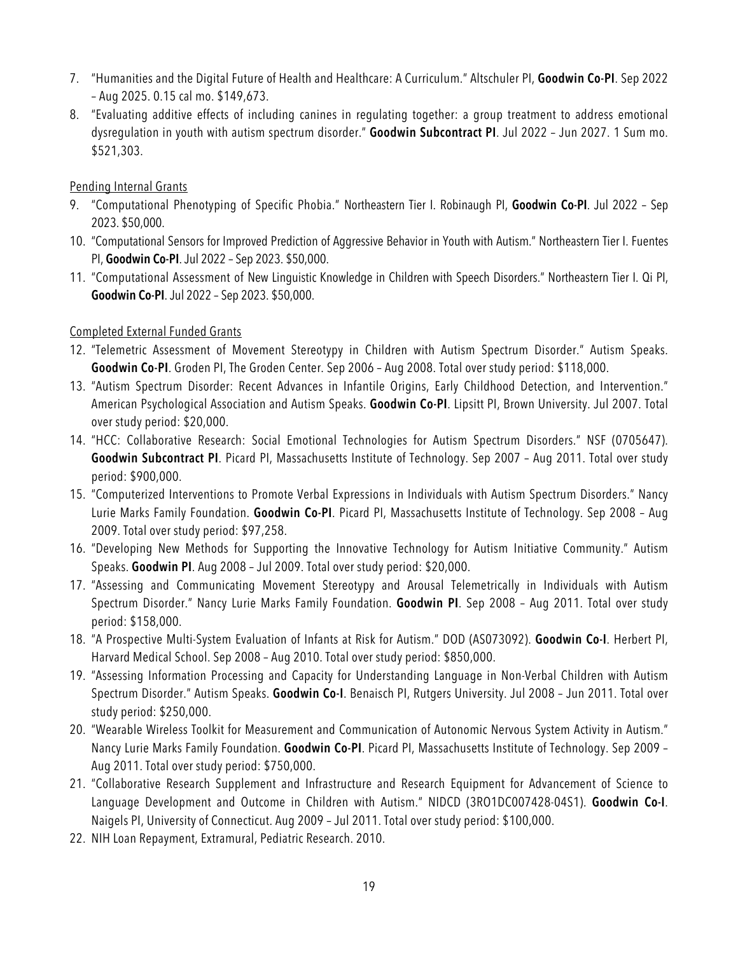- 7. "Humanities and the Digital Future of Health and Healthcare: A Curriculum." Altschuler PI, **Goodwin Co-PI**. Sep 2022 – Aug 2025. 0.15 cal mo. \$149,673.
- 8. "Evaluating additive effects of including canines in regulating together: a group treatment to address emotional dysregulation in youth with autism spectrum disorder." **Goodwin Subcontract PI**. Jul 2022 – Jun 2027. 1 Sum mo. \$521,303.

### Pending Internal Grants

- 9. "Computational Phenotyping of Specific Phobia." Northeastern Tier I. Robinaugh PI, **Goodwin Co-PI**. Jul 2022 Sep 2023. \$50,000.
- 10. "Computational Sensors for Improved Prediction of Aggressive Behavior in Youth with Autism." Northeastern Tier I. Fuentes PI, **Goodwin Co-PI**.Jul 2022 – Sep 2023. \$50,000.
- 11. "Computational Assessment of New Linguistic Knowledge in Children with Speech Disorders." Northeastern Tier I. Qi PI, **Goodwin Co-PI**.Jul 2022 – Sep 2023. \$50,000.

### Completed External Funded Grants

- 12. "Telemetric Assessment of Movement Stereotypy in Children with Autism Spectrum Disorder." Autism Speaks. **Goodwin Co-PI**. Groden PI, The Groden Center. Sep 2006 – Aug 2008. Total over study period: \$118,000.
- 13. "Autism Spectrum Disorder: Recent Advances in Infantile Origins, Early Childhood Detection, and Intervention." American Psychological Association and Autism Speaks. **Goodwin Co-PI**. Lipsitt PI, Brown University. Jul 2007. Total over study period: \$20,000.
- 14. "HCC: Collaborative Research: Social Emotional Technologies for Autism Spectrum Disorders." NSF (0705647). **Goodwin Subcontract PI**. Picard PI, Massachusetts Institute of Technology. Sep 2007 – Aug 2011. Total over study period: \$900,000.
- 15. "Computerized Interventions to Promote Verbal Expressions in Individuals with Autism Spectrum Disorders." Nancy Lurie Marks Family Foundation. **Goodwin Co-PI**. Picard PI, Massachusetts Institute of Technology. Sep 2008 – Aug 2009. Total over study period: \$97,258.
- 16. "Developing New Methods for Supporting the Innovative Technology for Autism Initiative Community." Autism Speaks. **Goodwin PI**. Aug 2008 – Jul 2009. Total over study period: \$20,000.
- 17. "Assessing and Communicating Movement Stereotypy and Arousal Telemetrically in Individuals with Autism Spectrum Disorder." Nancy Lurie Marks Family Foundation. **Goodwin PI**. Sep 2008 – Aug 2011. Total over study period: \$158,000.
- 18. "A Prospective Multi-System Evaluation of Infants at Risk for Autism." DOD (AS073092). **Goodwin Co-I**. Herbert PI, Harvard Medical School. Sep 2008 – Aug 2010. Total over study period: \$850,000.
- 19. "Assessing Information Processing and Capacity for Understanding Language in Non-Verbal Children with Autism Spectrum Disorder." Autism Speaks. **Goodwin Co-I**. Benaisch PI, Rutgers University. Jul 2008 – Jun 2011. Total over study period: \$250,000.
- 20. "Wearable Wireless Toolkit for Measurement and Communication of Autonomic Nervous System Activity in Autism." Nancy Lurie Marks Family Foundation. **Goodwin Co-PI**. Picard PI, Massachusetts Institute of Technology. Sep 2009 – Aug 2011. Total over study period: \$750,000.
- 21. "Collaborative Research Supplement and Infrastructure and Research Equipment for Advancement of Science to Language Development and Outcome in Children with Autism." NIDCD (3RO1DC007428-04S1). **Goodwin Co-I**. Naigels PI, University of Connecticut. Aug 2009 – Jul 2011. Total over study period: \$100,000.
- 22. NIH Loan Repayment, Extramural, Pediatric Research. 2010.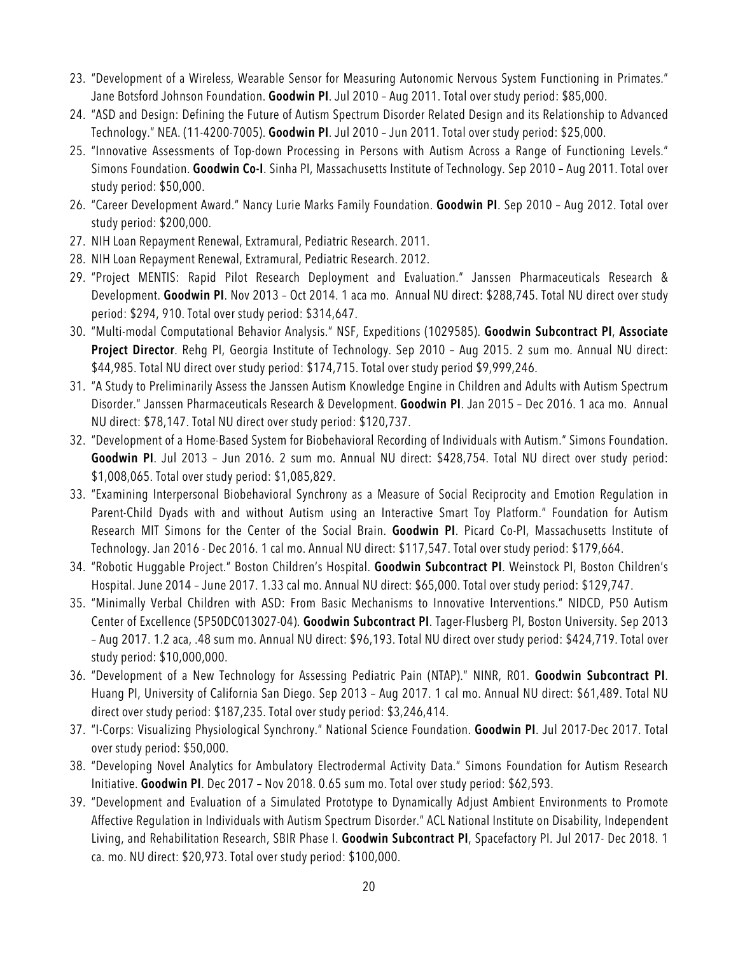- 23. "Development of a Wireless, Wearable Sensor for Measuring Autonomic Nervous System Functioning in Primates." Jane Botsford Johnson Foundation. **Goodwin PI**. Jul 2010 – Aug 2011. Total over study period: \$85,000.
- 24. "ASD and Design: Defining the Future of Autism Spectrum Disorder Related Design and its Relationship to Advanced Technology." NEA. (11-4200-7005). **Goodwin PI**. Jul 2010 – Jun 2011. Total over study period: \$25,000.
- 25. "Innovative Assessments of Top-down Processing in Persons with Autism Across a Range of Functioning Levels." Simons Foundation. **Goodwin Co-I**. Sinha PI, Massachusetts Institute of Technology. Sep 2010 – Aug 2011. Total over study period: \$50,000.
- 26. "Career Development Award." Nancy Lurie Marks Family Foundation. **Goodwin PI**. Sep 2010 Aug 2012. Total over study period: \$200,000.
- 27. NIH Loan Repayment Renewal, Extramural, Pediatric Research. 2011.
- 28. NIH Loan Repayment Renewal, Extramural, Pediatric Research. 2012.
- 29. "Project MENTIS: Rapid Pilot Research Deployment and Evaluation." Janssen Pharmaceuticals Research & Development. **Goodwin PI**. Nov 2013 – Oct 2014. 1 aca mo. Annual NU direct: \$288,745. Total NU direct over study period: \$294, 910. Total over study period: \$314,647.
- 30. "Multi-modal Computational Behavior Analysis." NSF, Expeditions (1029585). **Goodwin Subcontract PI**, **Associate Project Director**. Rehg PI, Georgia Institute of Technology. Sep 2010 – Aug 2015. 2 sum mo. Annual NU direct: \$44,985. Total NU direct over study period: \$174,715. Total over study period \$9,999,246.
- 31. "A Study to Preliminarily Assess the Janssen Autism Knowledge Engine in Children and Adults with Autism Spectrum Disorder." Janssen Pharmaceuticals Research & Development. **Goodwin PI**. Jan 2015 – Dec 2016. 1 aca mo. Annual NU direct: \$78,147. Total NU direct over study period: \$120,737.
- 32. "Development of a Home-Based System for Biobehavioral Recording of Individuals with Autism." Simons Foundation. **Goodwin PI**. Jul 2013 – Jun 2016. 2 sum mo. Annual NU direct: \$428,754. Total NU direct over study period: \$1,008,065. Total over study period: \$1,085,829.
- 33. "Examining Interpersonal Biobehavioral Synchrony as a Measure of Social Reciprocity and Emotion Regulation in Parent-Child Dyads with and without Autism using an Interactive Smart Toy Platform." Foundation for Autism Research MIT Simons for the Center of the Social Brain. **Goodwin PI**. Picard Co-PI, Massachusetts Institute of Technology. Jan 2016 - Dec 2016. 1 cal mo. Annual NU direct: \$117,547. Total over study period: \$179,664.
- 34. "Robotic Huggable Project." Boston Children's Hospital. **Goodwin Subcontract PI**. Weinstock PI, Boston Children's Hospital. June 2014 – June 2017. 1.33 cal mo. Annual NU direct: \$65,000. Total over study period: \$129,747.
- 35. "Minimally Verbal Children with ASD: From Basic Mechanisms to Innovative Interventions." NIDCD, P50 Autism Center of Excellence (5P50DC013027-04). **Goodwin Subcontract PI**. Tager-Flusberg PI, Boston University. Sep 2013 – Aug 2017. 1.2 aca, .48 sum mo. Annual NU direct: \$96,193. Total NU direct over study period: \$424,719. Total over study period: \$10,000,000.
- 36. "Development of a New Technology for Assessing Pediatric Pain (NTAP)." NINR, R01. **Goodwin Subcontract PI**. Huang PI, University of California San Diego. Sep 2013 – Aug 2017. 1 cal mo. Annual NU direct: \$61,489. Total NU direct over study period: \$187,235. Total over study period: \$3,246,414.
- 37. "I-Corps: Visualizing Physiological Synchrony." National Science Foundation. **Goodwin PI**. Jul 2017-Dec 2017. Total over study period: \$50,000.
- 38. "Developing Novel Analytics for Ambulatory Electrodermal Activity Data." Simons Foundation for Autism Research Initiative. **Goodwin PI**. Dec 2017 – Nov 2018. 0.65 sum mo. Total over study period: \$62,593.
- 39. "Development and Evaluation of a Simulated Prototype to Dynamically Adjust Ambient Environments to Promote Affective Regulation in Individuals with Autism Spectrum Disorder." ACL National Institute on Disability, Independent Living, and Rehabilitation Research, SBIR Phase I. **Goodwin Subcontract PI**, Spacefactory PI. Jul 2017- Dec 2018. 1 ca. mo. NU direct: \$20,973. Total over study period: \$100,000.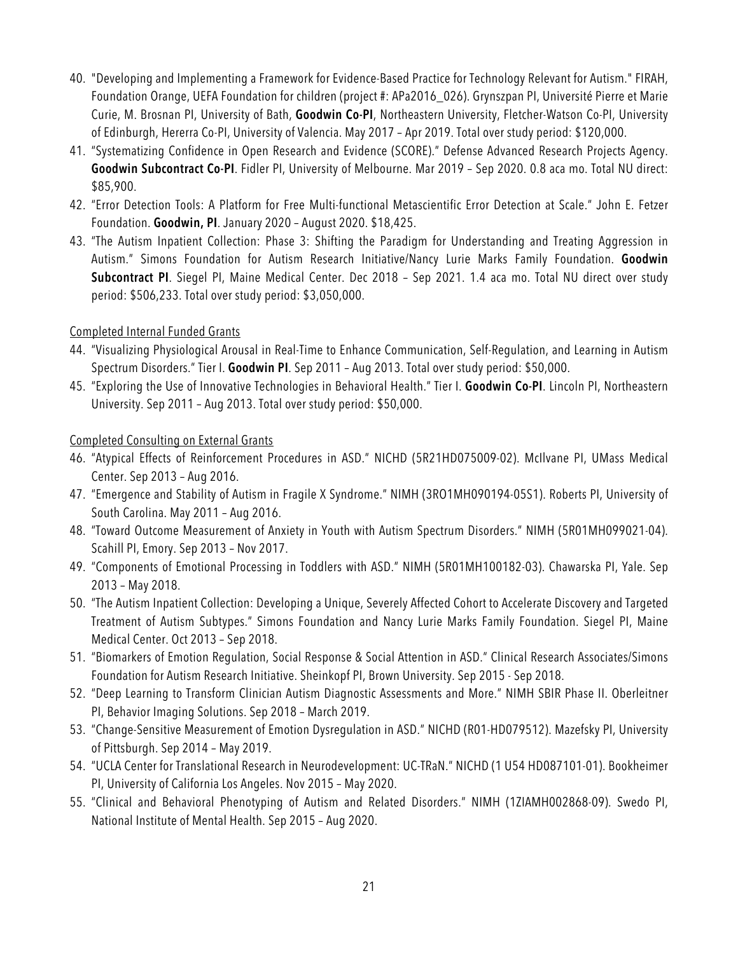- 40. "Developing and Implementing a Framework for Evidence-Based Practice for Technology Relevant for Autism." FIRAH, Foundation Orange, UEFA Foundation for children (project #: APa2016\_026). Grynszpan PI, Université Pierre et Marie Curie, M. Brosnan PI, University of Bath, **Goodwin Co-PI**, Northeastern University, Fletcher-Watson Co-PI, University of Edinburgh, Hererra Co-PI, University of Valencia. May 2017 – Apr 2019. Total over study period: \$120,000.
- 41. "Systematizing Confidence in Open Research and Evidence (SCORE)." Defense Advanced Research Projects Agency. **Goodwin Subcontract Co-PI**. Fidler PI, University of Melbourne. Mar 2019 – Sep 2020. 0.8 aca mo. Total NU direct: \$85,900.
- 42. "Error Detection Tools: A Platform for Free Multi-functional Metascientific Error Detection at Scale." John E. Fetzer Foundation. **Goodwin, PI**. January 2020 – August 2020. \$18,425.
- 43. "The Autism Inpatient Collection: Phase 3: Shifting the Paradigm for Understanding and Treating Aggression in Autism." Simons Foundation for Autism Research Initiative/Nancy Lurie Marks Family Foundation. **Goodwin Subcontract PI**. Siegel PI, Maine Medical Center. Dec 2018 – Sep 2021. 1.4 aca mo. Total NU direct over study period: \$506,233. Total over study period: \$3,050,000.

### Completed Internal Funded Grants

- 44. "Visualizing Physiological Arousal in Real-Time to Enhance Communication, Self-Regulation, and Learning in Autism Spectrum Disorders." Tier I. **Goodwin PI**. Sep 2011 – Aug 2013. Total over study period: \$50,000.
- 45. "Exploring the Use of Innovative Technologies in Behavioral Health." Tier I. **Goodwin Co-PI**. Lincoln PI, Northeastern University. Sep 2011 – Aug 2013. Total over study period: \$50,000.

### Completed Consulting on External Grants

- 46. "Atypical Effects of Reinforcement Procedures in ASD." NICHD (5R21HD075009-02). McIlvane PI, UMass Medical Center. Sep 2013 – Aug 2016.
- 47. "Emergence and Stability of Autism in Fragile X Syndrome." NIMH (3RO1MH090194-05S1). Roberts PI, University of South Carolina. May 2011 – Aug 2016.
- 48. "Toward Outcome Measurement of Anxiety in Youth with Autism Spectrum Disorders." NIMH (5R01MH099021-04). Scahill PI, Emory. Sep 2013 – Nov 2017.
- 49. "Components of Emotional Processing in Toddlers with ASD." NIMH (5R01MH100182-03). Chawarska PI, Yale. Sep 2013 – May 2018.
- 50. "The Autism Inpatient Collection: Developing a Unique, Severely Affected Cohort to Accelerate Discovery and Targeted Treatment of Autism Subtypes." Simons Foundation and Nancy Lurie Marks Family Foundation. Siegel PI, Maine Medical Center. Oct 2013 – Sep 2018.
- 51. "Biomarkers of Emotion Regulation, Social Response & Social Attention in ASD." Clinical Research Associates/Simons Foundation for Autism Research Initiative. Sheinkopf PI, Brown University. Sep 2015 - Sep 2018.
- 52. "Deep Learning to Transform Clinician Autism Diagnostic Assessments and More." NIMH SBIR Phase II. Oberleitner PI, Behavior Imaging Solutions. Sep 2018 – March 2019.
- 53. "Change-Sensitive Measurement of Emotion Dysregulation in ASD." NICHD (R01-HD079512). Mazefsky PI, University of Pittsburgh. Sep 2014 – May 2019.
- 54. "UCLA Center for Translational Research in Neurodevelopment: UC-TRaN." NICHD (1 U54 HD087101-01). Bookheimer PI, University of California Los Angeles. Nov 2015 – May 2020.
- 55. "Clinical and Behavioral Phenotyping of Autism and Related Disorders." NIMH (1ZIAMH002868-09). Swedo PI, National Institute of Mental Health. Sep 2015 – Aug 2020.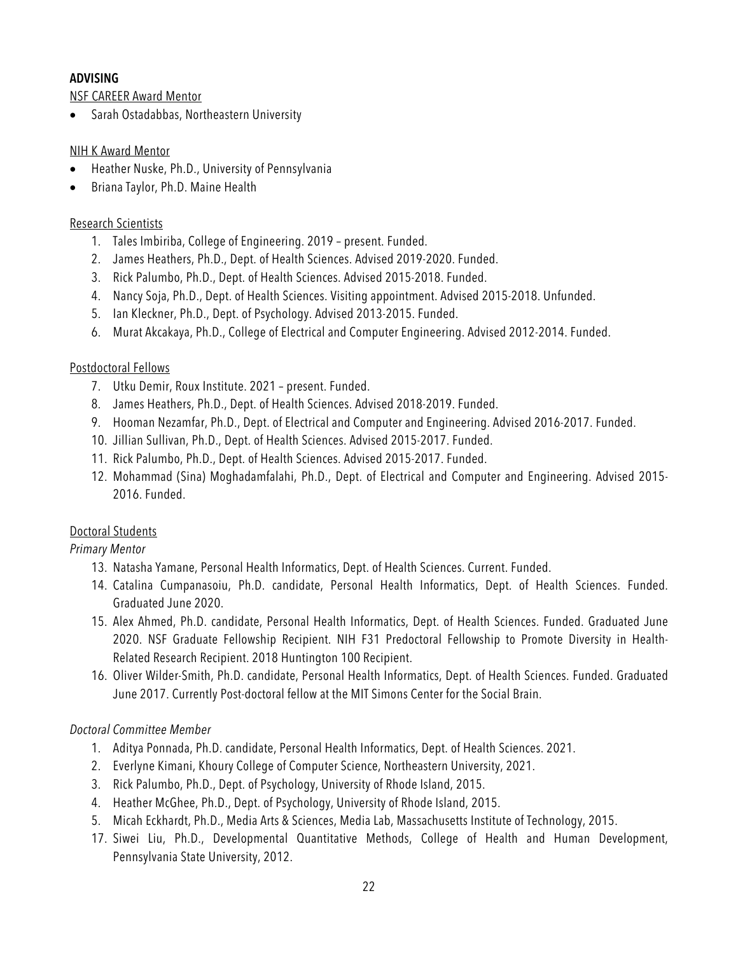## **ADVISING**

NSF CAREER Award Mentor

• Sarah Ostadabbas, Northeastern University

### NIH K Award Mentor

- Heather Nuske, Ph.D., University of Pennsylvania
- Briana Taylor, Ph.D. Maine Health

### Research Scientists

- 1. Tales Imbiriba, College of Engineering. 2019 present. Funded.
- 2. James Heathers, Ph.D., Dept. of Health Sciences. Advised 2019-2020. Funded.
- 3. Rick Palumbo, Ph.D., Dept. of Health Sciences. Advised 2015-2018. Funded.
- 4. Nancy Soja, Ph.D., Dept. of Health Sciences. Visiting appointment. Advised 2015-2018. Unfunded.
- 5. Ian Kleckner, Ph.D., Dept. of Psychology. Advised 2013-2015. Funded.
- 6. Murat Akcakaya, Ph.D., College of Electrical and Computer Engineering. Advised 2012-2014. Funded.

### Postdoctoral Fellows

- 7. Utku Demir, Roux Institute. 2021 present. Funded.
- 8. James Heathers, Ph.D., Dept. of Health Sciences. Advised 2018-2019. Funded.
- 9. Hooman Nezamfar, Ph.D., Dept. of Electrical and Computer and Engineering. Advised 2016-2017. Funded.
- 10. Jillian Sullivan, Ph.D., Dept. of Health Sciences. Advised 2015-2017. Funded.
- 11. Rick Palumbo, Ph.D., Dept. of Health Sciences. Advised 2015-2017. Funded.
- 12. Mohammad (Sina) Moghadamfalahi, Ph.D., Dept. of Electrical and Computer and Engineering. Advised 2015- 2016. Funded.

## Doctoral Students

## *Primary Mentor*

- 13. Natasha Yamane, Personal Health Informatics, Dept. of Health Sciences. Current. Funded.
- 14. Catalina Cumpanasoiu, Ph.D. candidate, Personal Health Informatics, Dept. of Health Sciences. Funded. Graduated June 2020.
- 15. Alex Ahmed, Ph.D. candidate, Personal Health Informatics, Dept. of Health Sciences. Funded. Graduated June 2020. NSF Graduate Fellowship Recipient. NIH F31 Predoctoral Fellowship to Promote Diversity in Health-Related Research Recipient. 2018 Huntington 100 Recipient.
- 16. Oliver Wilder-Smith, Ph.D. candidate, Personal Health Informatics, Dept. of Health Sciences. Funded. Graduated June 2017. Currently Post-doctoral fellow at the MIT Simons Center for the Social Brain.

## *Doctoral Committee Member*

- 1. Aditya Ponnada, Ph.D. candidate, Personal Health Informatics, Dept. of Health Sciences. 2021.
- 2. Everlyne Kimani, Khoury College of Computer Science, Northeastern University, 2021.
- 3. Rick Palumbo, Ph.D., Dept. of Psychology, University of Rhode Island, 2015.
- 4. Heather McGhee, Ph.D., Dept. of Psychology, University of Rhode Island, 2015.
- 5. Micah Eckhardt, Ph.D., Media Arts & Sciences, Media Lab, Massachusetts Institute of Technology, 2015.
- 17. Siwei Liu, Ph.D., Developmental Quantitative Methods, College of Health and Human Development, Pennsylvania State University, 2012.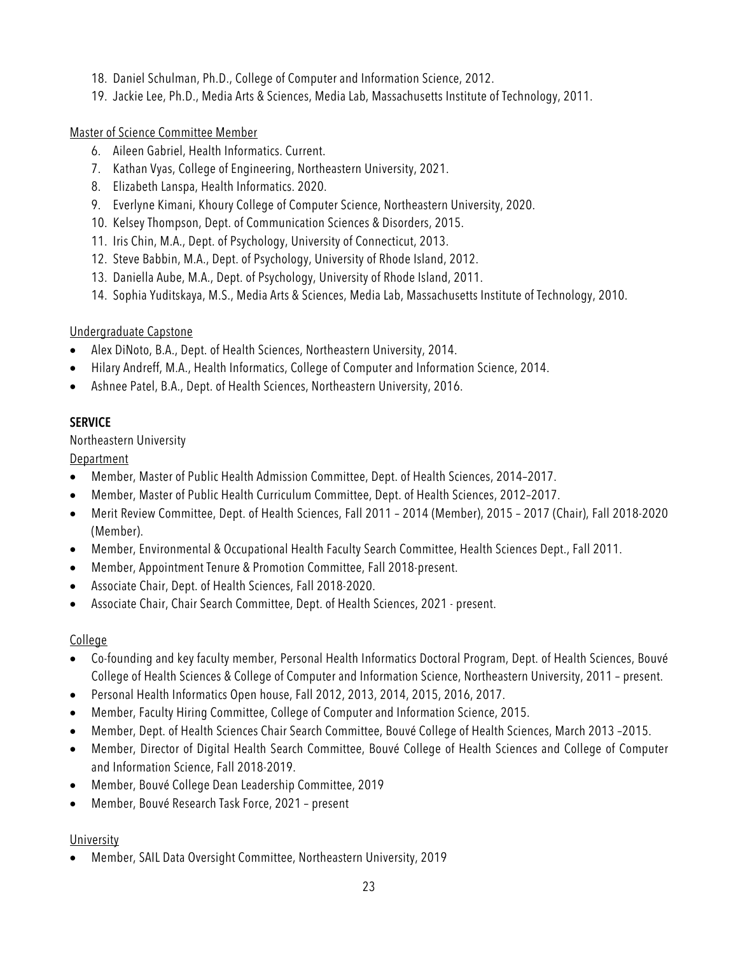- 18. Daniel Schulman, Ph.D., College of Computer and Information Science, 2012.
- 19. Jackie Lee, Ph.D., Media Arts & Sciences, Media Lab, Massachusetts Institute of Technology, 2011.

## Master of Science Committee Member

- 6. Aileen Gabriel, Health Informatics. Current.
- 7. Kathan Vyas, College of Engineering, Northeastern University, 2021.
- 8. Elizabeth Lanspa, Health Informatics. 2020.
- 9. Everlyne Kimani, Khoury College of Computer Science, Northeastern University, 2020.
- 10. Kelsey Thompson, Dept. of Communication Sciences & Disorders, 2015.
- 11. Iris Chin, M.A., Dept. of Psychology, University of Connecticut, 2013.
- 12. Steve Babbin, M.A., Dept. of Psychology, University of Rhode Island, 2012.
- 13. Daniella Aube, M.A., Dept. of Psychology, University of Rhode Island, 2011.
- 14. Sophia Yuditskaya, M.S., Media Arts & Sciences, Media Lab, Massachusetts Institute of Technology, 2010.

## Undergraduate Capstone

- Alex DiNoto, B.A., Dept. of Health Sciences, Northeastern University, 2014.
- Hilary Andreff, M.A., Health Informatics, College of Computer and Information Science, 2014.
- Ashnee Patel, B.A., Dept. of Health Sciences, Northeastern University, 2016.

### **SERVICE**

### Northeastern University

## **Department**

- Member, Master of Public Health Admission Committee, Dept. of Health Sciences, 2014–2017.
- Member, Master of Public Health Curriculum Committee, Dept. of Health Sciences, 2012–2017.
- Merit Review Committee, Dept. of Health Sciences, Fall 2011 2014 (Member), 2015 2017 (Chair), Fall 2018-2020 (Member).
- Member, Environmental & Occupational Health Faculty Search Committee, Health Sciences Dept., Fall 2011.
- Member, Appointment Tenure & Promotion Committee, Fall 2018-present.
- Associate Chair, Dept. of Health Sciences, Fall 2018-2020.
- Associate Chair, Chair Search Committee, Dept. of Health Sciences, 2021 present.

### College

- Co-founding and key faculty member, Personal Health Informatics Doctoral Program, Dept. of Health Sciences, Bouvé College of Health Sciences & College of Computer and Information Science, Northeastern University, 2011 – present.
- Personal Health Informatics Open house, Fall 2012, 2013, 2014, 2015, 2016, 2017.
- Member, Faculty Hiring Committee, College of Computer and Information Science, 2015.
- Member, Dept. of Health Sciences Chair Search Committee, Bouvé College of Health Sciences, March 2013 –2015.
- Member, Director of Digital Health Search Committee, Bouvé College of Health Sciences and College of Computer and Information Science, Fall 2018-2019.
- Member, Bouvé College Dean Leadership Committee, 2019
- Member, Bouvé Research Task Force, 2021 present

### University

• Member, SAIL Data Oversight Committee, Northeastern University, 2019